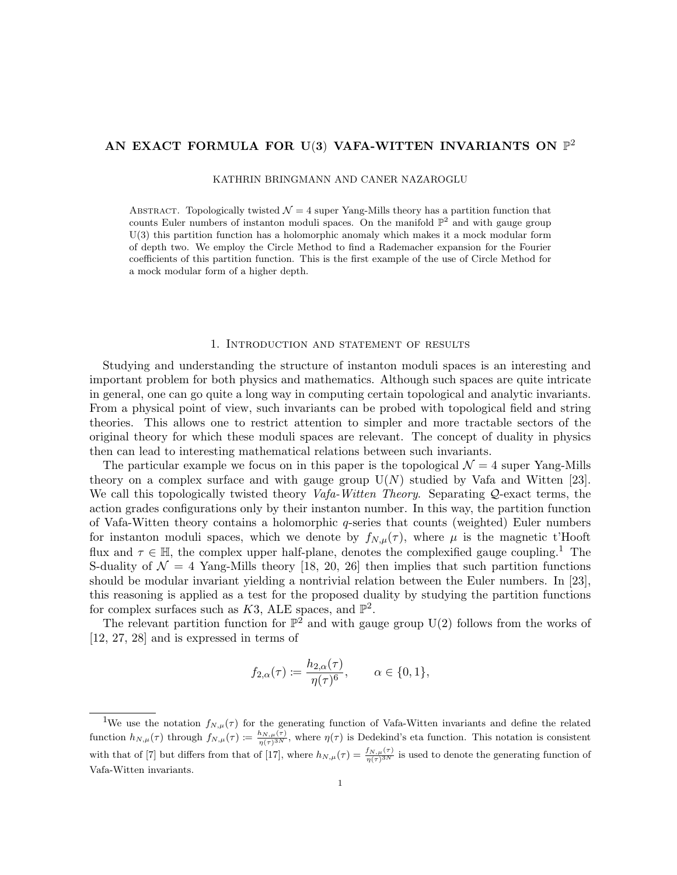# AN EXACT FORMULA FOR U(3) VAFA-WITTEN INVARIANTS ON  $\mathbb{P}^2$

KATHRIN BRINGMANN AND CANER NAZAROGLU

ABSTRACT. Topologically twisted  $\mathcal{N} = 4$  super Yang-Mills theory has a partition function that counts Euler numbers of instanton moduli spaces. On the manifold  $\mathbb{P}^2$  and with gauge group U(3) this partition function has a holomorphic anomaly which makes it a mock modular form of depth two. We employ the Circle Method to find a Rademacher expansion for the Fourier coefficients of this partition function. This is the first example of the use of Circle Method for a mock modular form of a higher depth.

### 1. Introduction and statement of results

Studying and understanding the structure of instanton moduli spaces is an interesting and important problem for both physics and mathematics. Although such spaces are quite intricate in general, one can go quite a long way in computing certain topological and analytic invariants. From a physical point of view, such invariants can be probed with topological field and string theories. This allows one to restrict attention to simpler and more tractable sectors of the original theory for which these moduli spaces are relevant. The concept of duality in physics then can lead to interesting mathematical relations between such invariants.

The particular example we focus on in this paper is the topological  $\mathcal{N} = 4$  super Yang-Mills theory on a complex surface and with gauge group  $U(N)$  studied by Vafa and Witten [23]. We call this topologically twisted theory  $Vafa-Witten Theory$ . Separating Q-exact terms, the action grades configurations only by their instanton number. In this way, the partition function of Vafa-Witten theory contains a holomorphic  $q$ -series that counts (weighted) Euler numbers for instanton moduli spaces, which we denote by  $f_{N,\mu}(\tau)$ , where  $\mu$  is the magnetic t'Hooft flux and  $\tau \in \mathbb{H}$ , the complex upper half-plane, denotes the complexified gauge coupling.<sup>1</sup> The S-duality of  $\mathcal{N} = 4$  Yang-Mills theory [18, 20, 26] then implies that such partition functions should be modular invariant yielding a nontrivial relation between the Euler numbers. In [23], this reasoning is applied as a test for the proposed duality by studying the partition functions for complex surfaces such as  $K3$ , ALE spaces, and  $\mathbb{P}^2$ .

The relevant partition function for  $\mathbb{P}^2$  and with gauge group U(2) follows from the works of [12, 27, 28] and is expressed in terms of

$$
f_{2,\alpha}(\tau) \coloneqq \frac{h_{2,\alpha}(\tau)}{\eta(\tau)^6}, \qquad \alpha \in \{0,1\},\
$$

<sup>&</sup>lt;sup>1</sup>We use the notation  $f_{N,\mu}(\tau)$  for the generating function of Vafa-Witten invariants and define the related function  $h_{N,\mu}(\tau)$  through  $f_{N,\mu}(\tau) := \frac{h_{N,\mu}(\tau)}{\eta(\tau)^{3N}}$ , where  $\eta(\tau)$  is Dedekind's eta function. This notation is consistent with that of [7] but differs from that of [17], where  $h_{N,\mu}(\tau) = \frac{f_{N,\mu}(\tau)}{\eta(\tau)^{3N}}$  is used to denote the generating function of Vafa-Witten invariants.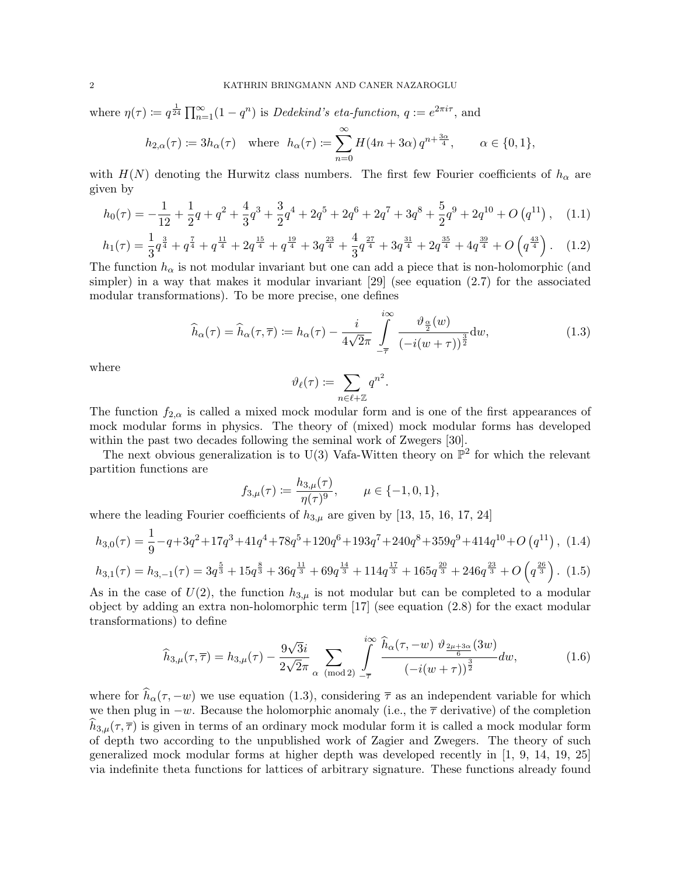where  $\eta(\tau) \coloneqq q^{\frac{1}{24}} \prod_{n=1}^{\infty} (1 - q^n)$  is *Dedekind's eta-function*,  $q := e^{2\pi i \tau}$ , and

$$
h_{2,\alpha}(\tau) := 3h_{\alpha}(\tau) \quad \text{where} \quad h_{\alpha}(\tau) := \sum_{n=0}^{\infty} H(4n + 3\alpha) q^{n + \frac{3\alpha}{4}}, \qquad \alpha \in \{0, 1\},
$$

with  $H(N)$  denoting the Hurwitz class numbers. The first few Fourier coefficients of  $h_{\alpha}$  are given by

$$
h_0(\tau) = -\frac{1}{12} + \frac{1}{2}q + q^2 + \frac{4}{3}q^3 + \frac{3}{2}q^4 + 2q^5 + 2q^6 + 2q^7 + 3q^8 + \frac{5}{2}q^9 + 2q^{10} + O(q^{11}), \quad (1.1)
$$

$$
h_1(\tau) = \frac{1}{3}q^{\frac{3}{4}} + q^{\frac{7}{4}} + q^{\frac{11}{4}} + 2q^{\frac{15}{4}} + q^{\frac{19}{4}} + 3q^{\frac{23}{4}} + \frac{4}{3}q^{\frac{27}{4}} + 3q^{\frac{31}{4}} + 2q^{\frac{35}{4}} + 4q^{\frac{39}{4}} + O\left(q^{\frac{43}{4}}\right).
$$
 (1.2)

The function  $h_{\alpha}$  is not modular invariant but one can add a piece that is non-holomorphic (and simpler) in a way that makes it modular invariant [29] (see equation (2.7) for the associated modular transformations). To be more precise, one defines

$$
\widehat{h}_{\alpha}(\tau) = \widehat{h}_{\alpha}(\tau,\overline{\tau}) \coloneqq h_{\alpha}(\tau) - \frac{i}{4\sqrt{2}\pi} \int\limits_{-\overline{\tau}}^{i\infty} \frac{\vartheta_{\frac{\alpha}{2}}(w)}{\left(-i(w+\tau)\right)^{\frac{3}{2}}} dw, \tag{1.3}
$$

where

$$
\vartheta_\ell(\tau) \coloneqq \sum_{n \in \ell + \mathbb{Z}} q^{n^2}.
$$

The function  $f_{2,\alpha}$  is called a mixed mock modular form and is one of the first appearances of mock modular forms in physics. The theory of (mixed) mock modular forms has developed within the past two decades following the seminal work of Zwegers [30].

The next obvious generalization is to U(3) Vafa-Witten theory on  $\mathbb{P}^2$  for which the relevant partition functions are

$$
f_{3,\mu}(\tau) := \frac{h_{3,\mu}(\tau)}{\eta(\tau)^9}, \qquad \mu \in \{-1, 0, 1\},\
$$

where the leading Fourier coefficients of  $h_{3,\mu}$  are given by [13, 15, 16, 17, 24]

$$
h_{3,0}(\tau) = \frac{1}{9} - q + 3q^2 + 17q^3 + 41q^4 + 78q^5 + 120q^6 + 193q^7 + 240q^8 + 359q^9 + 414q^{10} + O(q^{11}), \tag{1.4}
$$
  

$$
h_{3,1}(\tau) = h_{3,-1}(\tau) = 3q^{\frac{5}{3}} + 15q^{\frac{8}{3}} + 36q^{\frac{11}{3}} + 69q^{\frac{14}{3}} + 114q^{\frac{17}{3}} + 165q^{\frac{20}{3}} + 246q^{\frac{23}{3}} + O(q^{\frac{26}{3}}). \tag{1.5}
$$

As in the case of  $U(2)$ , the function  $h_{3,\mu}$  is not modular but can be completed to a modular object by adding an extra non-holomorphic term [17] (see equation (2.8) for the exact modular transformations) to define

$$
\widehat{h}_{3,\mu}(\tau,\overline{\tau}) = h_{3,\mu}(\tau) - \frac{9\sqrt{3}i}{2\sqrt{2}\pi} \sum_{\alpha \pmod{2}} \int_{-\overline{\tau}}^{i\infty} \frac{\widehat{h}_{\alpha}(\tau,-w) \,\vartheta_{\frac{2\mu+3\alpha}{6}}(3w)}{(-i(w+\tau))^{\frac{3}{2}}} dw, \tag{1.6}
$$

where for  $\widehat{h}_{\alpha}(\tau, -w)$  we use equation (1.3), considering  $\overline{\tau}$  as an independent variable for which we then plug in  $-w$ . Because the holomorphic anomaly (i.e., the  $\bar{\tau}$  derivative) of the completion  $h_{3,\mu}(\tau,\overline{\tau})$  is given in terms of an ordinary mock modular form it is called a mock modular form of depth two according to the unpublished work of Zagier and Zwegers. The theory of such generalized mock modular forms at higher depth was developed recently in [1, 9, 14, 19, 25] via indefinite theta functions for lattices of arbitrary signature. These functions already found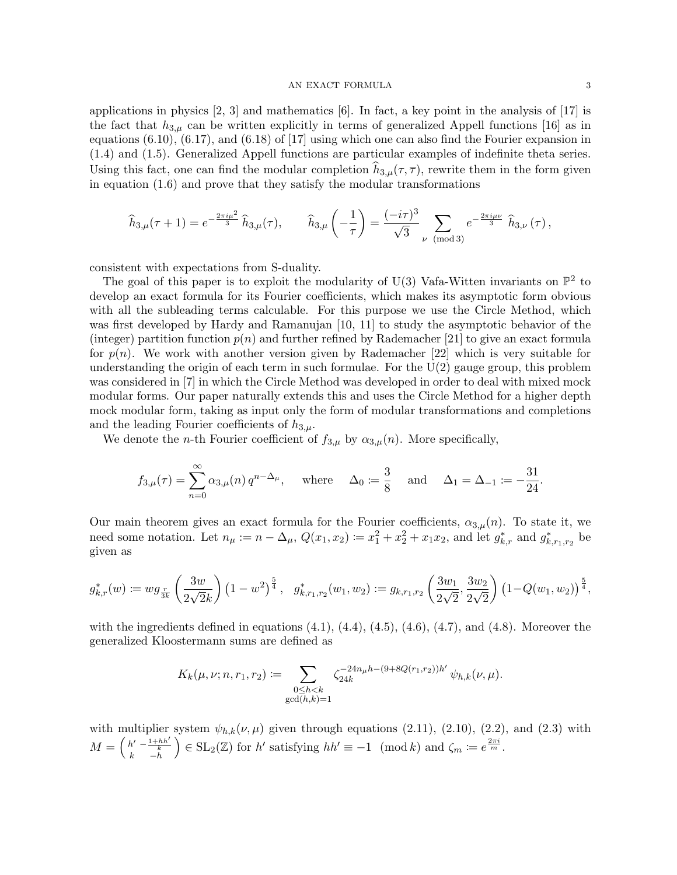### AN EXACT FORMULA 3

applications in physics [2, 3] and mathematics [6]. In fact, a key point in the analysis of [17] is the fact that  $h_{3,\mu}$  can be written explicitly in terms of generalized Appell functions [16] as in equations  $(6.10)$ ,  $(6.17)$ , and  $(6.18)$  of [17] using which one can also find the Fourier expansion in (1.4) and (1.5). Generalized Appell functions are particular examples of indefinite theta series. Using this fact, one can find the modular completion  $h_{3,\mu}(\tau,\overline{\tau})$ , rewrite them in the form given in equation (1.6) and prove that they satisfy the modular transformations

$$
\widehat{h}_{3,\mu}(\tau+1) = e^{-\frac{2\pi i \mu^2}{3}} \widehat{h}_{3,\mu}(\tau), \qquad \widehat{h}_{3,\mu}\left(-\frac{1}{\tau}\right) = \frac{(-i\tau)^3}{\sqrt{3}} \sum_{\nu \pmod{3}} e^{-\frac{2\pi i \mu \nu}{3}} \widehat{h}_{3,\nu}(\tau),
$$

consistent with expectations from S-duality.

The goal of this paper is to exploit the modularity of U(3) Vafa-Witten invariants on  $\mathbb{P}^2$  to develop an exact formula for its Fourier coefficients, which makes its asymptotic form obvious with all the subleading terms calculable. For this purpose we use the Circle Method, which was first developed by Hardy and Ramanujan [10, 11] to study the asymptotic behavior of the (integer) partition function  $p(n)$  and further refined by Rademacher [21] to give an exact formula for  $p(n)$ . We work with another version given by Rademacher [22] which is very suitable for understanding the origin of each term in such formulae. For the  $U(2)$  gauge group, this problem was considered in [7] in which the Circle Method was developed in order to deal with mixed mock modular forms. Our paper naturally extends this and uses the Circle Method for a higher depth mock modular form, taking as input only the form of modular transformations and completions and the leading Fourier coefficients of  $h_{3,\mu}$ .

We denote the *n*-th Fourier coefficient of  $f_{3,\mu}$  by  $\alpha_{3,\mu}(n)$ . More specifically,

$$
f_{3,\mu}(\tau) = \sum_{n=0}^{\infty} \alpha_{3,\mu}(n) q^{n-\Delta_{\mu}}, \text{ where } \Delta_0 := \frac{3}{8} \text{ and } \Delta_1 = \Delta_{-1} := -\frac{31}{24}.
$$

Our main theorem gives an exact formula for the Fourier coefficients,  $\alpha_{3,\mu}(n)$ . To state it, we need some notation. Let  $n_{\mu} := n - \Delta_{\mu}, Q(x_1, x_2) := x_1^2 + x_2^2 + x_1 x_2$ , and let  $g_{k,r}^*$  and  $g_{k,r_1,r_2}^*$  be given as

$$
g_{k,r}^*(w) \coloneqq w g_{\frac{r}{3k}}\left(\frac{3w}{2\sqrt{2}k}\right) \left(1-w^2\right)^{\frac{5}{4}}, \quad g_{k,r_1,r_2}^*(w_1,w_2) \coloneqq g_{k,r_1,r_2}\left(\frac{3w_1}{2\sqrt{2}},\frac{3w_2}{2\sqrt{2}}\right) \left(1-Q(w_1,w_2)\right)^{\frac{5}{4}},
$$

with the ingredients defined in equations  $(4.1)$ ,  $(4.4)$ ,  $(4.5)$ ,  $(4.6)$ ,  $(4.7)$ , and  $(4.8)$ . Moreover the generalized Kloostermann sums are defined as

$$
K_k(\mu, \nu; n, r_1, r_2) := \sum_{\substack{0 \le h < k \\ \gcd(h,k)=1}} \zeta_{24k}^{-24n_\mu h - (9+8Q(r_1, r_2))h'} \psi_{h,k}(\nu, \mu).
$$

with multiplier system  $\psi_{h,k}(\nu,\mu)$  given through equations (2.11), (2.10), (2.2), and (2.3) with  $M = \begin{pmatrix} h' & -\frac{1+hh'}{k} \\ k & -h \end{pmatrix}$  $\Big) \in SL_2(\mathbb{Z})$  for h' satisfying  $hh' \equiv -1 \pmod{k}$  and  $\zeta_m := e^{\frac{2\pi i}{m}}$ .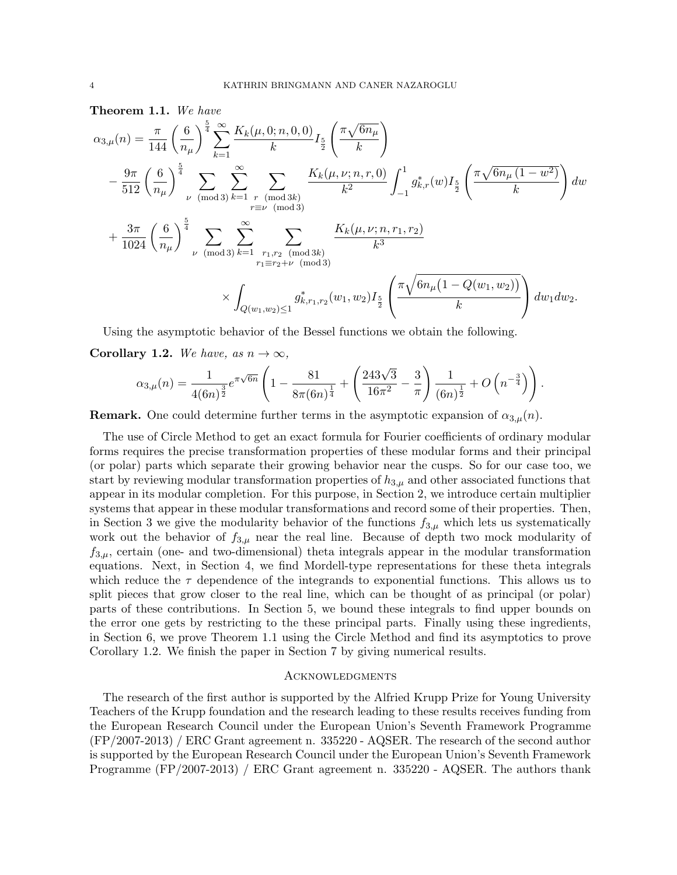Theorem 1.1. We have

$$
\alpha_{3,\mu}(n) = \frac{\pi}{144} \left(\frac{6}{n_{\mu}}\right)^{\frac{5}{4}} \sum_{k=1}^{\infty} \frac{K_{k}(\mu,0;n,0,0)}{k} I_{\frac{5}{2}}\left(\frac{\pi\sqrt{6n_{\mu}}}{k}\right)
$$
  

$$
- \frac{9\pi}{512} \left(\frac{6}{n_{\mu}}\right)^{\frac{5}{4}} \sum_{\nu \pmod{3}} \sum_{k=1}^{\infty} \sum_{\substack{r \pmod{3k} \\ r \equiv \nu \pmod{3}}} \frac{K_{k}(\mu,\nu;n,r,0)}{k^{2}} \int_{-1}^{1} g_{k,r}^{*}(\omega) I_{\frac{5}{2}}\left(\frac{\pi\sqrt{6n_{\mu}(1-\omega^{2})}}{k}\right) d\omega
$$
  

$$
+ \frac{3\pi}{1024} \left(\frac{6}{n_{\mu}}\right)^{\frac{5}{4}} \sum_{\nu \pmod{3}} \sum_{k=1}^{\infty} \sum_{\substack{r_{1},r_{2} \pmod{3k} \\ r_{1}\equiv r_{2}+\nu \pmod{3}}} \frac{K_{k}(\mu,\nu;n,r_{1},r_{2})}{k^{3}}
$$
  

$$
\times \int_{Q(w_{1},w_{2})\leq 1} g_{k,r_{1},r_{2}}^{*}(\omega_{1},\omega_{2}) I_{\frac{5}{2}}\left(\frac{\pi\sqrt{6n_{\mu}(1-Q(w_{1},w_{2}))}}{k}\right) d\omega_{1} d\omega_{2}.
$$

Using the asymptotic behavior of the Bessel functions we obtain the following.

Corollary 1.2. We have, as  $n \to \infty$ ,

$$
\alpha_{3,\mu}(n) = \frac{1}{4(6n)^{\frac{3}{2}}} e^{\pi \sqrt{6n}} \left( 1 - \frac{81}{8\pi (6n)^{\frac{1}{4}}} + \left( \frac{243\sqrt{3}}{16\pi^2} - \frac{3}{\pi} \right) \frac{1}{(6n)^{\frac{1}{2}}} + O\left(n^{-\frac{3}{4}}\right) \right).
$$

**Remark.** One could determine further terms in the asymptotic expansion of  $\alpha_{3,\mu}(n)$ .

The use of Circle Method to get an exact formula for Fourier coefficients of ordinary modular forms requires the precise transformation properties of these modular forms and their principal (or polar) parts which separate their growing behavior near the cusps. So for our case too, we start by reviewing modular transformation properties of  $h_{3,\mu}$  and other associated functions that appear in its modular completion. For this purpose, in Section 2, we introduce certain multiplier systems that appear in these modular transformations and record some of their properties. Then, in Section 3 we give the modularity behavior of the functions  $f_{3,\mu}$  which lets us systematically work out the behavior of  $f_{3,\mu}$  near the real line. Because of depth two mock modularity of  $f_{3,\mu}$ , certain (one- and two-dimensional) theta integrals appear in the modular transformation equations. Next, in Section 4, we find Mordell-type representations for these theta integrals which reduce the  $\tau$  dependence of the integrands to exponential functions. This allows us to split pieces that grow closer to the real line, which can be thought of as principal (or polar) parts of these contributions. In Section 5, we bound these integrals to find upper bounds on the error one gets by restricting to the these principal parts. Finally using these ingredients, in Section 6, we prove Theorem 1.1 using the Circle Method and find its asymptotics to prove Corollary 1.2. We finish the paper in Section 7 by giving numerical results.

### Acknowledgments

The research of the first author is supported by the Alfried Krupp Prize for Young University Teachers of the Krupp foundation and the research leading to these results receives funding from the European Research Council under the European Union's Seventh Framework Programme (FP/2007-2013) / ERC Grant agreement n. 335220 - AQSER. The research of the second author is supported by the European Research Council under the European Union's Seventh Framework Programme (FP/2007-2013) / ERC Grant agreement n. 335220 - AQSER. The authors thank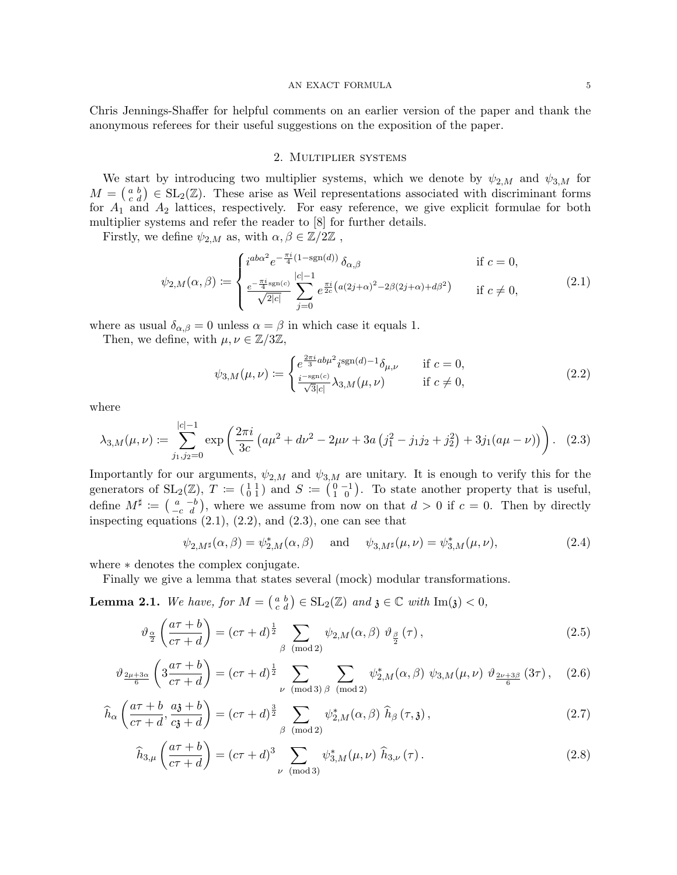#### ${\bf AN\;EXACT\; FORMULA} \qquad \qquad {\bf 5}$

Chris Jennings-Shaffer for helpful comments on an earlier version of the paper and thank the anonymous referees for their useful suggestions on the exposition of the paper.

## 2. Multiplier systems

We start by introducing two multiplier systems, which we denote by  $\psi_{2,M}$  and  $\psi_{3,M}$  for  $M = \begin{pmatrix} a & b \\ c & d \end{pmatrix} \in SL_2(\mathbb{Z})$ . These arise as Weil representations associated with discriminant forms for  $A_1$  and  $A_2$  lattices, respectively. For easy reference, we give explicit formulae for both multiplier systems and refer the reader to [8] for further details.

Firstly, we define  $\psi_{2,M}$  as, with  $\alpha, \beta \in \mathbb{Z}/2\mathbb{Z}$ ,

$$
\psi_{2,M}(\alpha,\beta) := \begin{cases} i^{a b \alpha^2} e^{-\frac{\pi i}{4} (1 - \text{sgn}(d))} \, \delta_{\alpha,\beta} & \text{if } c = 0, \\ \frac{e^{-\frac{\pi i}{4} \text{sgn}(c)}}{\sqrt{2|c|}} \sum_{j=0}^{|c|-1} e^{\frac{\pi i}{2c} (a(2j+\alpha)^2 - 2\beta (2j+\alpha) + d\beta^2)} & \text{if } c \neq 0, \end{cases} \tag{2.1}
$$

where as usual  $\delta_{\alpha,\beta} = 0$  unless  $\alpha = \beta$  in which case it equals 1.

Then, we define, with  $\mu, \nu \in \mathbb{Z}/3\mathbb{Z}$ ,

$$
\psi_{3,M}(\mu,\nu) := \begin{cases} e^{\frac{2\pi i}{3}ab\mu^2} i^{\text{sgn}(d)-1} \delta_{\mu,\nu} & \text{if } c = 0, \\ \frac{i^{-\text{sgn}(c)}}{\sqrt{3}|c|} \lambda_{3,M}(\mu,\nu) & \text{if } c \neq 0, \end{cases}
$$
(2.2)

where

$$
\lambda_{3,M}(\mu,\nu) := \sum_{j_1,j_2=0}^{|c|-1} \exp\left(\frac{2\pi i}{3c} \left(a\mu^2 + d\nu^2 - 2\mu\nu + 3a\left(j_1^2 - j_1j_2 + j_2^2\right) + 3j_1(a\mu - \nu)\right)\right). \tag{2.3}
$$

Importantly for our arguments,  $\psi_{2,M}$  and  $\psi_{3,M}$  are unitary. It is enough to verify this for the generators of  $SL_2(\mathbb{Z})$ ,  $T := \begin{pmatrix} 1 & 1 \\ 0 & 1 \end{pmatrix}$  and  $S := \begin{pmatrix} 0 & -1 \\ 1 & 0 \end{pmatrix}$ . To state another property that is useful, define  $M^{\sharp} := \begin{pmatrix} a & -b \\ -c & d \end{pmatrix}$ , where we assume from now on that  $d > 0$  if  $c = 0$ . Then by directly inspecting equations  $(2.1)$ ,  $(2.2)$ , and  $(2.3)$ , one can see that

$$
\psi_{2,M^{\sharp}}(\alpha,\beta) = \psi_{2,M}^{\ast}(\alpha,\beta) \quad \text{and} \quad \psi_{3,M^{\sharp}}(\mu,\nu) = \psi_{3,M}^{\ast}(\mu,\nu), \tag{2.4}
$$

where ∗ denotes the complex conjugate.

Finally we give a lemma that states several (mock) modular transformations.

**Lemma 2.1.** We have, for  $M = \begin{pmatrix} a & b \\ c & d \end{pmatrix} \in SL_2(\mathbb{Z})$  and  $\mathfrak{z} \in \mathbb{C}$  with  $Im(\mathfrak{z}) < 0$ ,

$$
\vartheta_{\frac{\alpha}{2}}\left(\frac{a\tau+b}{c\tau+d}\right) = (c\tau+d)^{\frac{1}{2}} \sum_{\beta \pmod{2}} \psi_{2,M}(\alpha,\beta) \vartheta_{\frac{\beta}{2}}(\tau), \qquad (2.5)
$$

$$
\vartheta_{\frac{2\mu+3\alpha}{6}}\left(3\frac{a\tau+b}{c\tau+d}\right) = (c\tau+d)^{\frac{1}{2}} \sum_{\nu \pmod{3}} \sum_{\beta \pmod{2}} \psi_{2,M}^{*}(\alpha,\beta) \psi_{3,M}(\mu,\nu) \vartheta_{\frac{2\nu+3\beta}{6}}(3\tau), (2.6)
$$

$$
\widehat{h}_{\alpha}\left(\frac{a\tau+b}{c\tau+d},\frac{a\mathfrak{z}+b}{c\mathfrak{z}+d}\right)=(c\tau+d)^{\frac{3}{2}}\sum_{\beta\pmod{2}}\psi_{2,M}^{*}(\alpha,\beta)\widehat{h}_{\beta}(\tau,\mathfrak{z}),
$$
\n(2.7)

$$
\widehat{h}_{3,\mu}\left(\frac{a\tau+b}{c\tau+d}\right) = (c\tau+d)^3 \sum_{\nu \pmod{3}} \psi_{3,M}^*(\mu,\nu) \widehat{h}_{3,\nu}(\tau).
$$
\n(2.8)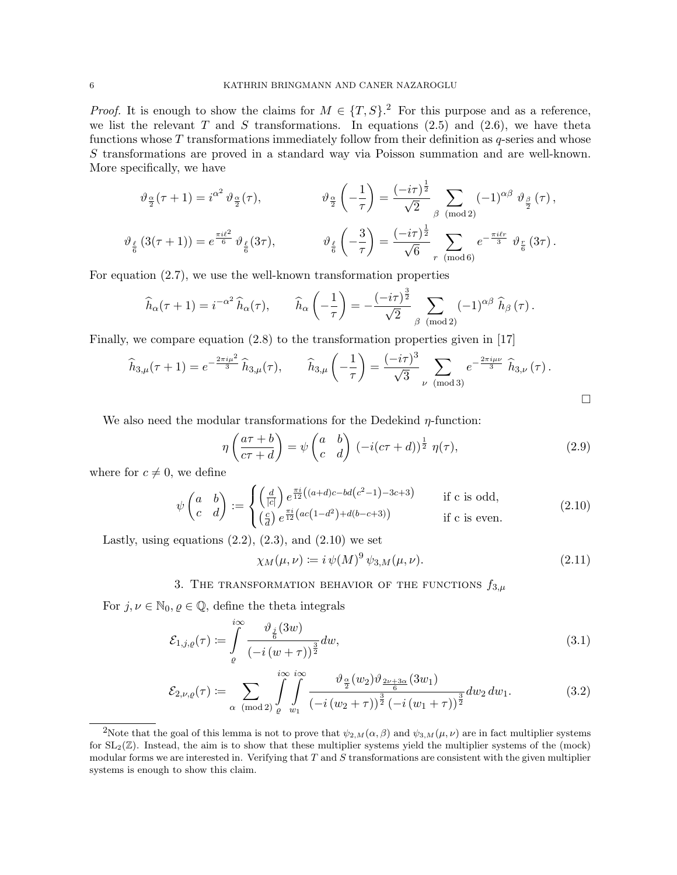*Proof.* It is enough to show the claims for  $M \in \{T, S\}$ .<sup>2</sup> For this purpose and as a reference, we list the relevant T and S transformations. In equations  $(2.5)$  and  $(2.6)$ , we have theta functions whose  $T$  transformations immediately follow from their definition as  $q$ -series and whose S transformations are proved in a standard way via Poisson summation and are well-known. More specifically, we have

$$
\vartheta_{\frac{\alpha}{2}}(\tau+1) = i^{\alpha^2} \vartheta_{\frac{\alpha}{2}}(\tau), \qquad \qquad \vartheta_{\frac{\alpha}{2}}\left(-\frac{1}{\tau}\right) = \frac{(-i\tau)^{\frac{1}{2}}}{\sqrt{2}} \sum_{\beta \pmod{2}} (-1)^{\alpha\beta} \vartheta_{\frac{\beta}{2}}(\tau),
$$

$$
\vartheta_{\frac{\ell}{6}}(3(\tau+1)) = e^{\frac{\pi i \ell^2}{6}} \vartheta_{\frac{\ell}{6}}(3\tau), \qquad \qquad \vartheta_{\frac{\ell}{6}}\left(-\frac{3}{\tau}\right) = \frac{(-i\tau)^{\frac{1}{2}}}{\sqrt{6}} \sum_{r \pmod{6}} e^{-\frac{\pi i \ell r}{3}} \vartheta_{\frac{r}{6}}(3\tau).
$$

For equation (2.7), we use the well-known transformation properties

$$
\widehat{h}_{\alpha}(\tau+1) = i^{-\alpha^2} \widehat{h}_{\alpha}(\tau), \qquad \widehat{h}_{\alpha}\left(-\frac{1}{\tau}\right) = -\frac{(-i\tau)^{\frac{3}{2}}}{\sqrt{2}} \sum_{\beta \pmod{2}} (-1)^{\alpha\beta} \widehat{h}_{\beta}(\tau).
$$

Finally, we compare equation (2.8) to the transformation properties given in [17]

$$
\widehat{h}_{3,\mu}(\tau+1) = e^{-\frac{2\pi i\mu^2}{3}} \widehat{h}_{3,\mu}(\tau), \qquad \widehat{h}_{3,\mu}\left(-\frac{1}{\tau}\right) = \frac{(-i\tau)^3}{\sqrt{3}} \sum_{\nu \pmod{3}} e^{-\frac{2\pi i\mu\nu}{3}} \widehat{h}_{3,\nu}(\tau).
$$

We also need the modular transformations for the Dedekind  $\eta$ -function:

$$
\eta \left( \frac{a\tau + b}{c\tau + d} \right) = \psi \left( \begin{matrix} a & b \\ c & d \end{matrix} \right) \left( -i(c\tau + d) \right)^{\frac{1}{2}} \eta(\tau), \tag{2.9}
$$

 $\Box$ 

where for  $c \neq 0$ , we define

$$
\psi\begin{pmatrix} a & b \\ c & d \end{pmatrix} := \begin{cases} \left(\frac{d}{|c|}\right) e^{\frac{\pi i}{12} \left((a+d)c - bd(c^2 - 1) - 3c + 3\right)} & \text{if } c \text{ is odd,} \\ \left(\frac{c}{d}\right) e^{\frac{\pi i}{12} \left(ac\left(1 - d^2\right) + d(b - c + 3)\right)} & \text{if } c \text{ is even.} \end{cases} \tag{2.10}
$$

Lastly, using equations  $(2.2)$ ,  $(2.3)$ , and  $(2.10)$  we set

$$
\chi_M(\mu,\nu) := i \,\psi(M)^9 \,\psi_{3,M}(\mu,\nu). \tag{2.11}
$$

3. THE TRANSFORMATION BEHAVIOR OF THE FUNCTIONS  $f_{3,\mu}$ 

For  $j, \nu \in \mathbb{N}_0, \varrho \in \mathbb{Q}$ , define the theta integrals

$$
\mathcal{E}_{1,j,\varrho}(\tau) \coloneqq \int\limits_{\varrho}^{i\infty} \frac{\vartheta_{\frac{j}{6}}(3w)}{\left(-i\left(w+\tau\right)\right)^{\frac{3}{2}}} dw,\tag{3.1}
$$

$$
\mathcal{E}_{2,\nu,\varrho}(\tau) := \sum_{\alpha \pmod{2}} \int_{\varrho}^{i\infty} \int_{w_1}^{i\infty} \frac{\vartheta_{\frac{\alpha}{2}}(w_2)\vartheta_{\frac{2\nu+3\alpha}{6}}(3w_1)}{(-i(w_2+\tau))^{\frac{3}{2}}(-i(w_1+\tau))^{\frac{3}{2}}} dw_2 dw_1.
$$
 (3.2)

<sup>&</sup>lt;sup>2</sup>Note that the goal of this lemma is not to prove that  $\psi_{2,M}(\alpha,\beta)$  and  $\psi_{3,M}(\mu,\nu)$  are in fact multiplier systems for  $SL_2(\mathbb{Z})$ . Instead, the aim is to show that these multiplier systems yield the multiplier systems of the (mock) modular forms we are interested in. Verifying that  $T$  and  $S$  transformations are consistent with the given multiplier systems is enough to show this claim.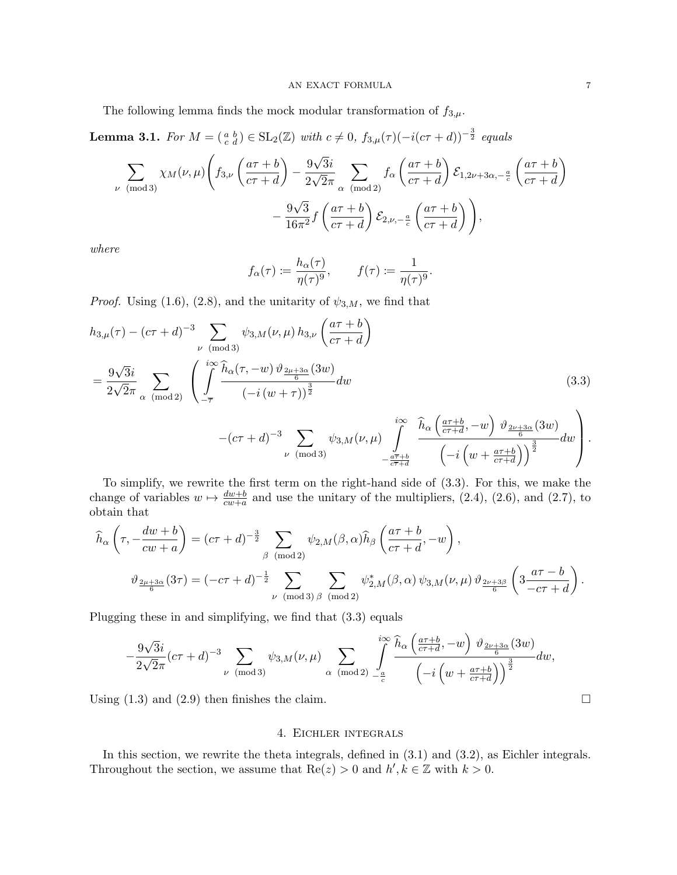The following lemma finds the mock modular transformation of  $f_{3,\mu}$ .

**Lemma 3.1.** For  $M = \begin{pmatrix} a & b \ c & d \end{pmatrix} \in \mathrm{SL}_2(\mathbb{Z})$  with  $c \neq 0$ ,  $f_{3,\mu}(\tau)(-i(c\tau+d))^{-\frac{3}{2}}$  equals

$$
\sum_{\nu \pmod{3}} \chi_M(\nu,\mu) \left( f_{3,\nu} \left( \frac{a\tau+b}{c\tau+d} \right) - \frac{9\sqrt{3}i}{2\sqrt{2}\pi} \sum_{\alpha \pmod{2}} f_{\alpha} \left( \frac{a\tau+b}{c\tau+d} \right) \mathcal{E}_{1,2\nu+3\alpha,-\frac{a}{c}} \left( \frac{a\tau+b}{c\tau+d} \right) - \frac{9\sqrt{3}}{16\pi^2} f \left( \frac{a\tau+b}{c\tau+d} \right) \mathcal{E}_{2,\nu,-\frac{a}{c}} \left( \frac{a\tau+b}{c\tau+d} \right) \right),
$$

where

$$
f_{\alpha}(\tau) := \frac{h_{\alpha}(\tau)}{\eta(\tau)^9}, \qquad f(\tau) := \frac{1}{\eta(\tau)^9}.
$$

*Proof.* Using (1.6), (2.8), and the unitarity of  $\psi_{3,M}$ , we find that

$$
h_{3,\mu}(\tau) - (c\tau + d)^{-3} \sum_{\nu \pmod{3}} \psi_{3,M}(\nu,\mu) h_{3,\nu} \left(\frac{a\tau + b}{c\tau + d}\right)
$$
  
= 
$$
\frac{9\sqrt{3}i}{2\sqrt{2}\pi} \sum_{\alpha \pmod{2}} \left( \int_{-\overline{\tau}}^{i\infty} \frac{\widehat{h}_{\alpha}(\tau, -w) \vartheta_{\frac{2\mu + 3\alpha}{6}}(3w)}{(-i(w+\tau))^{\frac{3}{2}}} dw \right)
$$
 (3.3)

$$
-(c\tau+d)^{-3}\sum_{\nu \pmod{3}}\psi_{3,M}(\nu,\mu)\int\limits_{-\frac{a\overline{\tau}+b}{c\overline{\tau}+d}}^{i\infty}\frac{h_{\alpha}\left(\frac{a\tau+b}{c\tau+d},-w\right)\vartheta_{\frac{2\nu+3\alpha}{6}}(3w)}{\left(-i\left(w+\frac{a\tau+b}{c\tau+d}\right)\right)^{\frac{3}{2}}}dw.
$$

To simplify, we rewrite the first term on the right-hand side of (3.3). For this, we make the change of variables  $w \mapsto \frac{dw+b}{cw+a}$  and use the unitary of the multipliers, (2.4), (2.6), and (2.7), to obtain that

$$
\widehat{h}_{\alpha}\left(\tau, -\frac{dw+b}{cw+a}\right) = (c\tau+d)^{-\frac{3}{2}} \sum_{\beta \pmod{2}} \psi_{2,M}(\beta,\alpha) \widehat{h}_{\beta}\left(\frac{a\tau+b}{c\tau+d}, -w\right),
$$

$$
\vartheta_{\frac{2\mu+3\alpha}{6}}(3\tau) = (-c\tau+d)^{-\frac{1}{2}} \sum_{\nu \pmod{3}} \sum_{\beta \pmod{2}} \psi_{2,M}^{*}(\beta,\alpha) \psi_{3,M}(\nu,\mu) \vartheta_{\frac{2\nu+3\beta}{6}}\left(3\frac{a\tau-b}{-c\tau+d}\right).
$$

Plugging these in and simplifying, we find that (3.3) equals

$$
-\frac{9\sqrt{3}i}{2\sqrt{2}\pi}(c\tau+d)^{-3}\sum_{\nu \pmod{3}}\psi_{3,M}(\nu,\mu)\sum_{\alpha \pmod{2}}\int_{-\frac{a}{c}}^{i\infty}\frac{\widehat{h}_{\alpha}\left(\frac{a\tau+b}{c\tau+d},-w\right)\vartheta_{\frac{2\nu+3\alpha}{6}}(3w)}{\left(-i\left(w+\frac{a\tau+b}{c\tau+d}\right)\right)^{\frac{3}{2}}}dw,
$$

Using  $(1.3)$  and  $(2.9)$  then finishes the claim.

## 4. Eichler integrals

In this section, we rewrite the theta integrals, defined in (3.1) and (3.2), as Eichler integrals. Throughout the section, we assume that  $\text{Re}(z) > 0$  and  $h', k \in \mathbb{Z}$  with  $k > 0$ .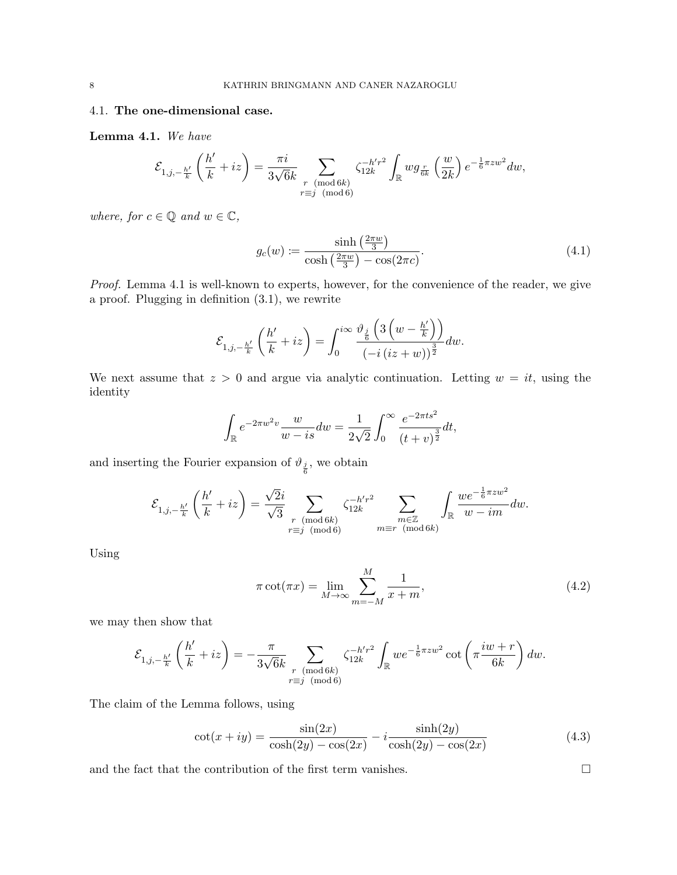# 4.1. The one-dimensional case.

Lemma 4.1. We have

$$
\mathcal{E}_{1,j,-\frac{h'}{k}}\left(\frac{h'}{k}+iz\right)=\frac{\pi i}{3\sqrt{6}k}\sum_{\substack{r\pmod{6k}\\ r\equiv j\pmod{6}}} \zeta_{12k}^{-h'r^2}\int_{\mathbb{R}}wg_{\frac{r}{6k}}\left(\frac{w}{2k}\right)e^{-\frac{1}{6}\pi zw^2}dw,
$$

where, for  $c \in \mathbb{Q}$  and  $w \in \mathbb{C}$ ,

$$
g_c(w) \coloneqq \frac{\sinh\left(\frac{2\pi w}{3}\right)}{\cosh\left(\frac{2\pi w}{3}\right) - \cos(2\pi c)}.\tag{4.1}
$$

Proof. Lemma 4.1 is well-known to experts, however, for the convenience of the reader, we give a proof. Plugging in definition (3.1), we rewrite

$$
\mathcal{E}_{1,j,-\frac{h'}{k}}\left(\frac{h'}{k}+iz\right)=\int_0^{i\infty}\frac{\vartheta_{\frac{j}{6}}\left(3\left(w-\frac{h'}{k}\right)\right)}{\left(-i\left(iz+w\right)\right)^{\frac{3}{2}}}dw.
$$

We next assume that  $z > 0$  and argue via analytic continuation. Letting  $w = it$ , using the identity

$$
\int_{\mathbb{R}} e^{-2\pi w^2 v} \frac{w}{w - is} dw = \frac{1}{2\sqrt{2}} \int_0^\infty \frac{e^{-2\pi t s^2}}{(t + v)^{\frac{3}{2}}} dt,
$$

and inserting the Fourier expansion of  $\vartheta_{\frac{j}{6}}$ , we obtain

$$
\mathcal{E}_{1,j,-\frac{h'}{k}}\left(\frac{h'}{k}+iz\right)=\frac{\sqrt{2}i}{\sqrt{3}}\sum_{\substack{r \pmod{6k}\\ r\equiv j\pmod{6}}} \zeta_{12k}^{-h'r^2}\sum_{\substack{m\in\mathbb{Z}\\ m\equiv r\pmod{6k}}} \int_{\mathbb{R}}\frac{we^{-\frac{1}{6}\pi zw^2}}{w-im}dw.
$$

Using

$$
\pi \cot(\pi x) = \lim_{M \to \infty} \sum_{m=-M}^{M} \frac{1}{x+m},\tag{4.2}
$$

we may then show that

$$
\mathcal{E}_{1,j,-\frac{h'}{k}}\left(\frac{h'}{k}+iz\right)=-\frac{\pi}{3\sqrt{6}k}\sum_{\substack{r\pmod{6k}\\r\equiv j\pmod{6}}} \zeta_{12k}^{-h'r^2}\int_{\mathbb{R}}we^{-\frac{1}{6}\pi zw^2}\cot\left(\pi\frac{iw+r}{6k}\right)dw.
$$

The claim of the Lemma follows, using

$$
\cot(x + iy) = \frac{\sin(2x)}{\cosh(2y) - \cos(2x)} - i \frac{\sinh(2y)}{\cosh(2y) - \cos(2x)}
$$
(4.3)

and the fact that the contribution of the first term vanishes.  $\Box$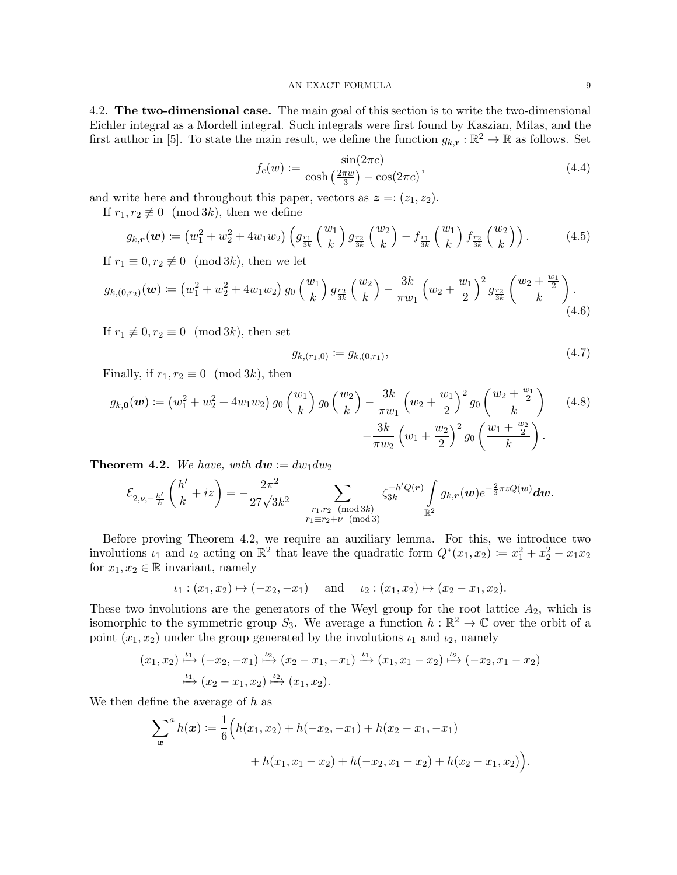4.2. The two-dimensional case. The main goal of this section is to write the two-dimensional Eichler integral as a Mordell integral. Such integrals were first found by Kaszian, Milas, and the first author in [5]. To state the main result, we define the function  $g_{k,r} : \mathbb{R}^2 \to \mathbb{R}$  as follows. Set

$$
f_c(w) := \frac{\sin(2\pi c)}{\cosh\left(\frac{2\pi w}{3}\right) - \cos(2\pi c)},\tag{4.4}
$$

and write here and throughout this paper, vectors as  $\boldsymbol{z} = (z_1, z_2)$ .

If  $r_1, r_2 \not\equiv 0 \pmod{3k}$ , then we define

$$
g_{k,r}(\boldsymbol{w}) := \left(w_1^2 + w_2^2 + 4w_1w_2\right) \left(g_{\frac{r_1}{3k}}\left(\frac{w_1}{k}\right)g_{\frac{r_2}{3k}}\left(\frac{w_2}{k}\right) - f_{\frac{r_1}{3k}}\left(\frac{w_1}{k}\right)f_{\frac{r_2}{3k}}\left(\frac{w_2}{k}\right)\right).
$$
 (4.5)

If  $r_1 \equiv 0, r_2 \not\equiv 0 \pmod{3k}$ , then we let

$$
g_{k,(0,r_2)}(\boldsymbol{w}) \coloneqq \left(w_1^2 + w_2^2 + 4w_1w_2\right)g_0\left(\frac{w_1}{k}\right)g_{\frac{r_2}{3k}}\left(\frac{w_2}{k}\right) - \frac{3k}{\pi w_1}\left(w_2 + \frac{w_1}{2}\right)^2g_{\frac{r_2}{3k}}\left(\frac{w_2 + \frac{w_1}{2}}{k}\right).
$$
\n(4.6)

If  $r_1 \not\equiv 0, r_2 \equiv 0 \pmod{3k}$ , then set

$$
g_{k,(r_1,0)} := g_{k,(0,r_1)},\tag{4.7}
$$

Finally, if  $r_1, r_2 \equiv 0 \pmod{3k}$ , then

$$
g_{k,0}(w) := \left(w_1^2 + w_2^2 + 4w_1w_2\right)g_0\left(\frac{w_1}{k}\right)g_0\left(\frac{w_2}{k}\right) - \frac{3k}{\pi w_1}\left(w_2 + \frac{w_1}{2}\right)^2g_0\left(\frac{w_2 + \frac{w_1}{2}}{k}\right) \tag{4.8}
$$

$$
-\frac{3k}{\pi w_2}\left(w_1 + \frac{w_2}{2}\right)^2g_0\left(\frac{w_1 + \frac{w_2}{2}}{k}\right).
$$

**Theorem 4.2.** We have, with  $dw := dw_1 dw_2$ 

$$
\mathcal{E}_{2,\nu,-\frac{h'}{k}}\left(\frac{h'}{k}+iz\right)=-\frac{2\pi^2}{27\sqrt{3}k^2}\sum_{\substack{r_1,r_2\pmod{3k}\\r_1\equiv r_2+\nu\pmod{3}}}\zeta_{3k}^{-h'Q(r)}\int\limits_{\mathbb{R}^2}g_{k,r}(w)e^{-\frac{2}{3}\pi zQ(w)}dw.
$$

Before proving Theorem 4.2, we require an auxiliary lemma. For this, we introduce two involutions  $\iota_1$  and  $\iota_2$  acting on  $\mathbb{R}^2$  that leave the quadratic form  $Q^*(x_1, x_2) := x_1^2 + x_2^2 - x_1x_2$ for  $x_1, x_2 \in \mathbb{R}$  invariant, namely

$$
\iota_1: (x_1, x_2) \mapsto (-x_2, -x_1)
$$
 and  $\iota_2: (x_1, x_2) \mapsto (x_2 - x_1, x_2)$ .

These two involutions are the generators of the Weyl group for the root lattice  $A_2$ , which is isomorphic to the symmetric group  $S_3$ . We average a function  $h : \mathbb{R}^2 \to \mathbb{C}$  over the orbit of a point  $(x_1, x_2)$  under the group generated by the involutions  $\iota_1$  and  $\iota_2$ , namely

$$
(x_1, x_2) \xrightarrow{\iota_1} (-x_2, -x_1) \xrightarrow{\iota_2} (x_2 - x_1, -x_1) \xrightarrow{\iota_1} (x_1, x_1 - x_2) \xrightarrow{\iota_2} (-x_2, x_1 - x_2)
$$
  

$$
\xrightarrow{\iota_1} (x_2 - x_1, x_2) \xrightarrow{\iota_2} (x_1, x_2).
$$

We then define the average of  $h$  as

$$
\sum_{x}^{a} h(x) \coloneqq \frac{1}{6} \Big( h(x_1, x_2) + h(-x_2, -x_1) + h(x_2 - x_1, -x_1) + h(x_1, x_1 - x_2) + h(-x_2, x_1 - x_2) + h(x_2 - x_1, x_2) \Big).
$$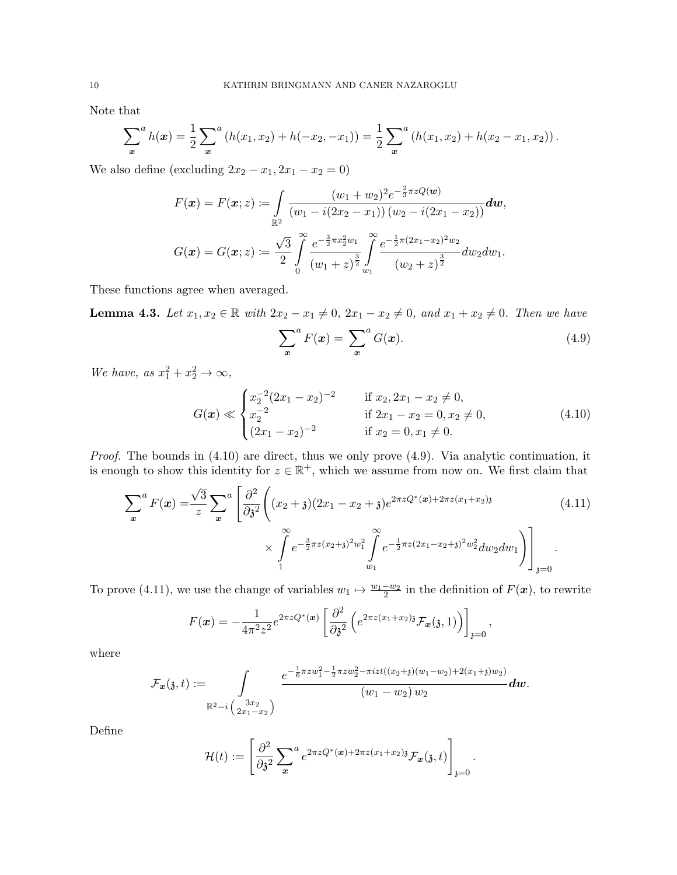Note that

$$
\sum_{x}^{a} h(x) = \frac{1}{2} \sum_{x}^{a} (h(x_1, x_2) + h(-x_2, -x_1)) = \frac{1}{2} \sum_{x}^{a} (h(x_1, x_2) + h(x_2 - x_1, x_2)).
$$

We also define (excluding  $2x_2 - x_1, 2x_1 - x_2 = 0$ )

$$
F(\boldsymbol{x}) = F(\boldsymbol{x}; z) := \int_{\mathbb{R}^2} \frac{(w_1 + w_2)^2 e^{-\frac{2}{3}\pi z Q(\boldsymbol{w})}}{(w_1 - i(2x_2 - x_1))(w_2 - i(2x_1 - x_2))} d\boldsymbol{w},
$$
  

$$
G(\boldsymbol{x}) = G(\boldsymbol{x}; z) := \frac{\sqrt{3}}{2} \int_{0}^{\infty} \frac{e^{-\frac{3}{2}\pi x_2^2 w_1}}{(w_1 + z)^{\frac{3}{2}}} \int_{w_1}^{\infty} \frac{e^{-\frac{1}{2}\pi (2x_1 - x_2)^2 w_2}}{(w_2 + z)^{\frac{3}{2}}} dw_2 dw_1.
$$

These functions agree when averaged.

**Lemma 4.3.** Let  $x_1, x_2 \in \mathbb{R}$  with  $2x_2 - x_1 \neq 0$ ,  $2x_1 - x_2 \neq 0$ , and  $x_1 + x_2 \neq 0$ . Then we have

$$
\sum_{x}^{a} F(x) = \sum_{x}^{a} G(x). \tag{4.9}
$$

We have, as  $x_1^2 + x_2^2 \rightarrow \infty$ ,

$$
G(\boldsymbol{x}) \ll \begin{cases} x_2^{-2} (2x_1 - x_2)^{-2} & \text{if } x_2, 2x_1 - x_2 \neq 0, \\ x_2^{-2} & \text{if } 2x_1 - x_2 = 0, x_2 \neq 0, \\ (2x_1 - x_2)^{-2} & \text{if } x_2 = 0, x_1 \neq 0. \end{cases}
$$
(4.10)

Proof. The bounds in  $(4.10)$  are direct, thus we only prove  $(4.9)$ . Via analytic continuation, it is enough to show this identity for  $z \in \mathbb{R}^+$ , which we assume from now on. We first claim that

$$
\sum_{x}^{a} F(x) = \frac{\sqrt{3}}{z} \sum_{x}^{a} \left[ \frac{\partial^{2}}{\partial \mathfrak{z}^{2}} \left( (x_{2} + \mathfrak{z})(2x_{1} - x_{2} + \mathfrak{z})e^{2\pi z Q^{*}(x) + 2\pi z (x_{1} + x_{2})\mathfrak{z}} \right) \times \int_{1}^{\infty} e^{-\frac{3}{2}\pi z (x_{2} + \mathfrak{z})^{2}w_{1}^{2}} \int_{w_{1}}^{\infty} e^{-\frac{1}{2}\pi z (2x_{1} - x_{2} + \mathfrak{z})^{2}w_{2}^{2}} dw_{2} dw_{1} \right) \Bigg]_{\mathfrak{z}=0} \tag{4.11}
$$

To prove (4.11), we use the change of variables  $w_1 \mapsto \frac{w_1-w_2}{2}$  in the definition of  $F(\mathbf{x})$ , to rewrite

$$
F(\boldsymbol{x}) = -\frac{1}{4\pi^2 z^2} e^{2\pi z Q^*(\boldsymbol{x})} \left[ \frac{\partial^2}{\partial \mathfrak{z}^2} \left( e^{2\pi z (x_1 + x_2) \mathfrak{z}} \mathcal{F}_{\boldsymbol{x}}(\mathfrak{z}, 1) \right) \right]_{\mathfrak{z} = 0},
$$

where

$$
\mathcal{F}_{\bm{x}}(\mathfrak{z},t):=\int\limits_{\mathbb{R}^2-i\binom{3x_2}{2x_1-x_2}}\frac{e^{-\frac{1}{6}\pi zw_1^2-\frac{1}{2}\pi zw_2^2-\pi izt((x_2+\mathfrak{z})(w_1-w_2)+2(x_1+\mathfrak{z})w_2)}}{(w_1-w_2)\,w_2}\bm{dw}.
$$

Define

$$
\mathcal{H}(t) := \left[\frac{\partial^2}{\partial \mathfrak{z}^2} \sum_{\mathbf{x}} e^{2\pi z Q^*(\mathbf{x}) + 2\pi z (x_1 + x_2) \mathfrak{z}} \mathcal{F}_{\mathbf{x}}(\mathfrak{z}, t)\right]_{\mathfrak{z} = 0}.
$$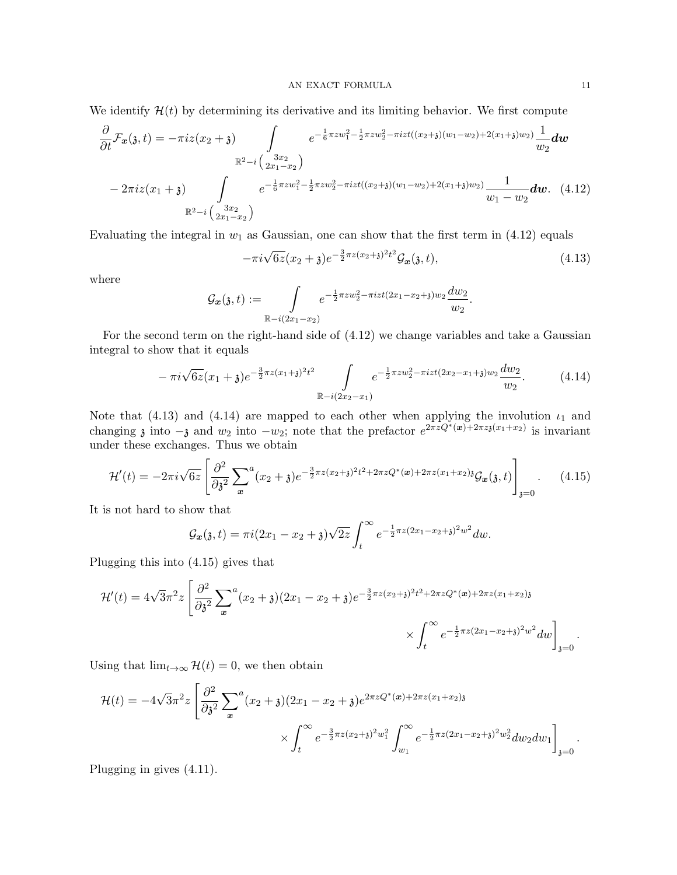We identify  $\mathcal{H}(t)$  by determining its derivative and its limiting behavior. We first compute

$$
\frac{\partial}{\partial t} \mathcal{F}_{\mathbf{x}}(\mathfrak{z},t) = -\pi i z (x_2 + \mathfrak{z}) \int e^{-\frac{1}{6}\pi z w_1^2 - \frac{1}{2}\pi z w_2^2 - \pi i z t ((x_2 + \mathfrak{z})(w_1 - w_2) + 2(x_1 + \mathfrak{z})w_2)}{w_2} dw
$$
\n
$$
= 2\pi i z (x_1 + \mathfrak{z}) \int e^{-\frac{1}{6}\pi z w_1^2 - \frac{1}{2}\pi z w_2^2 - \pi i z t ((x_2 + \mathfrak{z})(w_1 - w_2) + 2(x_1 + \mathfrak{z})w_2)}{w_1 - w_2} dw. \quad (4.12)
$$
\n
$$
\mathbb{R}^2 - i \left(\frac{3x_2}{2x_1 - x_2}\right)
$$

Evaluating the integral in  $w_1$  as Gaussian, one can show that the first term in (4.12) equals

$$
-\pi i \sqrt{6z}(x_2+\mathfrak{z})e^{-\frac{3}{2}\pi z(x_2+\mathfrak{z})^2t^2}\mathcal{G}_x(\mathfrak{z},t),\tag{4.13}
$$

where

$$
\mathcal{G}_{\bm{x}}(\mathfrak{z},t) := \int\limits_{\mathbb{R}-i(2x_1-x_2)} e^{-\frac{1}{2}\pi zw_2^2 - \pi izt(2x_1-x_2+\mathfrak{z})w_2} \frac{dw_2}{w_2}.
$$

For the second term on the right-hand side of (4.12) we change variables and take a Gaussian integral to show that it equals

$$
-\pi i \sqrt{6z}(x_1+\mathfrak{z})e^{-\frac{3}{2}\pi z(x_1+\mathfrak{z})^2 t^2} \int_{\mathbb{R}-i(2x_2-x_1)} e^{-\frac{1}{2}\pi zw_2^2 - \pi izt(2x_2-x_1+\mathfrak{z})w_2} \frac{dw_2}{w_2}.
$$
 (4.14)

Note that (4.13) and (4.14) are mapped to each other when applying the involution  $\iota_1$  and changing  $\delta$  into  $-\delta$  and  $w_2$  into  $-w_2$ ; note that the prefactor  $e^{2\pi z Q^*}(x)+2\pi z \delta(x_1+x_2)$  is invariant under these exchanges. Thus we obtain

$$
\mathcal{H}'(t) = -2\pi i \sqrt{6z} \left[ \frac{\partial^2}{\partial \mathfrak{z}^2} \sum_{\mathbf{x}}^a (x_2 + \mathfrak{z}) e^{-\frac{3}{2}\pi z (x_2 + \mathfrak{z})^2 t^2 + 2\pi z Q^*(\mathbf{x}) + 2\pi z (x_1 + x_2) \mathfrak{z} \mathcal{G}_{\mathbf{x}}(\mathfrak{z}, t) \right]_{\mathfrak{z}=0} . \tag{4.15}
$$

It is not hard to show that

$$
\mathcal{G}_{\bm{x}}(\mathfrak{z},t)=\pi i(2x_1-x_2+\mathfrak{z})\sqrt{2z}\int_t^{\infty}e^{-\frac{1}{2}\pi z(2x_1-x_2+\mathfrak{z})^2w^2}dw.
$$

Plugging this into (4.15) gives that

$$
\mathcal{H}'(t) = 4\sqrt{3}\pi^2 z \left[ \frac{\partial^2}{\partial \mathbf{3}^2} \sum_{\mathbf{x}}^a (x_2 + \mathbf{3})(2x_1 - x_2 + \mathbf{3})e^{-\frac{3}{2}\pi z (x_2 + \mathbf{3})^2 t^2 + 2\pi z Q^*(\mathbf{x}) + 2\pi z (x_1 + x_2)\mathbf{3}} \times \int_t^\infty e^{-\frac{1}{2}\pi z (2x_1 - x_2 + \mathbf{3})^2 w^2} dw \right]_{\mathbf{3} = 0}.
$$

Using that  $\lim_{t\to\infty} \mathcal{H}(t) = 0$ , we then obtain

$$
\mathcal{H}(t) = -4\sqrt{3}\pi^2 z \left[ \frac{\partial^2}{\partial \mathfrak{z}^2} \sum_x^a (x_2 + \mathfrak{z})(2x_1 - x_2 + \mathfrak{z})e^{2\pi z Q^*(x) + 2\pi z (x_1 + x_2)\mathfrak{z}} \times \int_t^\infty e^{-\frac{3}{2}\pi z (x_2 + \mathfrak{z})^2 w_1^2} \int_{w_1}^\infty e^{-\frac{1}{2}\pi z (2x_1 - x_2 + \mathfrak{z})^2 w_2^2} dw_2 dw_1 \right]_{\mathfrak{z}=0}.
$$

Plugging in gives (4.11).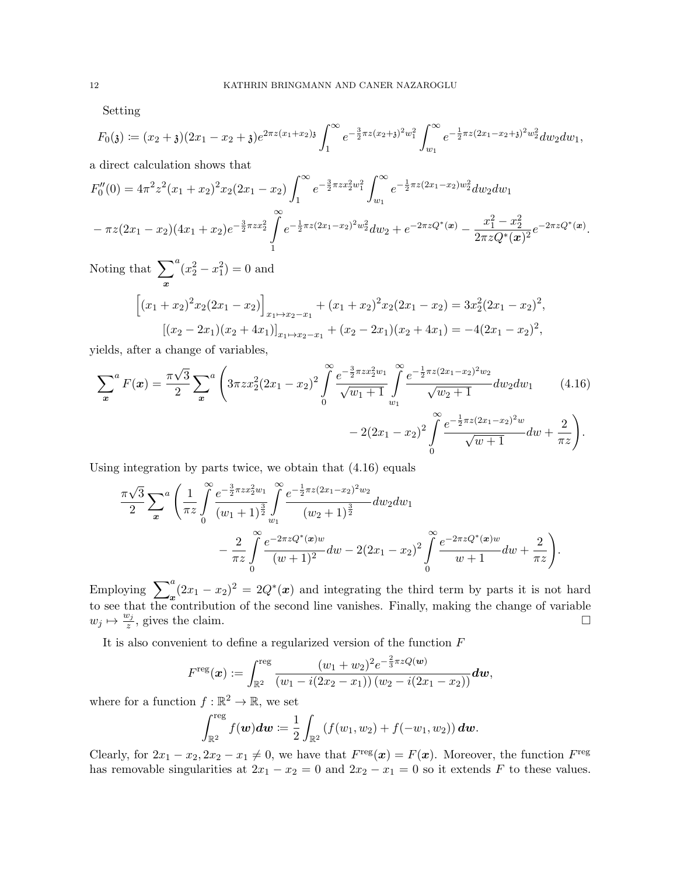Setting

$$
F_0(\mathfrak{z}) \coloneqq (x_2 + \mathfrak{z})(2x_1 - x_2 + \mathfrak{z})e^{2\pi z(x_1 + x_2)\mathfrak{z}} \int_1^\infty e^{-\frac{3}{2}\pi z(x_2 + \mathfrak{z})^2 w_1^2} \int_{w_1}^\infty e^{-\frac{1}{2}\pi z(2x_1 - x_2 + \mathfrak{z})^2 w_2^2} dw_2 dw_1,
$$

a direct calculation shows that

$$
F_0''(0) = 4\pi^2 z^2 (x_1 + x_2)^2 x_2 (2x_1 - x_2) \int_1^\infty e^{-\frac{3}{2}\pi z x_2^2 w_1^2} \int_{w_1}^\infty e^{-\frac{1}{2}\pi z (2x_1 - x_2) w_2^2} dw_2 dw_1
$$
  

$$
- \pi z (2x_1 - x_2) (4x_1 + x_2) e^{-\frac{3}{2}\pi z x_2^2} \int_1^\infty e^{-\frac{1}{2}\pi z (2x_1 - x_2)^2 w_2^2} dw_2 + e^{-2\pi z Q^*(x)} - \frac{x_1^2 - x_2^2}{2\pi z Q^*(x)^2} e^{-2\pi z Q^*(x)}.
$$

Noting that  $\sum_{a}^{a}$ x  $(x_2^2 - x_1^2) = 0$  and  $\sqrt{ }$ 

$$
(x_1 + x_2)^2 x_2 (2x_1 - x_2) \Big]_{x_1 \mapsto x_2 - x_1} + (x_1 + x_2)^2 x_2 (2x_1 - x_2) = 3x_2^2 (2x_1 - x_2)^2,
$$
  
\n
$$
[(x_2 - 2x_1)(x_2 + 4x_1)]_{x_1 \mapsto x_2 - x_1} + (x_2 - 2x_1)(x_2 + 4x_1) = -4(2x_1 - x_2)^2,
$$

yields, after a change of variables,

$$
\sum_{x}^{a} F(x) = \frac{\pi \sqrt{3}}{2} \sum_{x}^{a} \left( 3\pi z x_{2}^{2} (2x_{1} - x_{2})^{2} \int_{0}^{\infty} \frac{e^{-\frac{3}{2}\pi z x_{2}^{2}w_{1}}}{\sqrt{w_{1}+1}} \int_{w_{1}}^{\infty} \frac{e^{-\frac{1}{2}\pi z (2x_{1} - x_{2})^{2}w_{2}}}{\sqrt{w_{2}+1}} dw_{2} dw_{1} \right) \tag{4.16}
$$
\n
$$
-2(2x_{1} - x_{2})^{2} \int_{0}^{\infty} \frac{e^{-\frac{1}{2}\pi z (2x_{1} - x_{2})^{2}w}}{\sqrt{w+1}} dw + \frac{2}{\pi z} \right).
$$

Using integration by parts twice, we obtain that (4.16) equals

$$
\frac{\pi\sqrt{3}}{2} \sum_{x}^{a} \left( \frac{1}{\pi z} \int_{0}^{\infty} \frac{e^{-\frac{3}{2}\pi z x_2^2 w_1}}{(w_1 + 1)^{\frac{3}{2}}} \int_{w_1}^{\infty} \frac{e^{-\frac{1}{2}\pi z (2x_1 - x_2)^2 w_2}}{(w_2 + 1)^{\frac{3}{2}}} dw_2 dw_1 - \frac{2}{\pi z} \int_{0}^{\infty} \frac{e^{-2\pi z Q^*(x)w}}{(w + 1)^2} dw - 2(2x_1 - x_2)^2 \int_{0}^{\infty} \frac{e^{-2\pi z Q^*(x)w}}{w + 1} dw + \frac{2}{\pi z} \right).
$$

Employing  $\sum_{x}^{a} (2x_1 - x_2)^2 = 2Q^*(x)$  and integrating the third term by parts it is not hard to see that the contribution of the second line vanishes. Finally, making the change of variable  $w_j \mapsto \frac{w_j}{z}$  $\frac{v_j}{z}$ , gives the claim.

It is also convenient to define a regularized version of the function  $\cal F$ 

$$
F^{\text{reg}}(\boldsymbol{x}) := \int_{\mathbb{R}^2}^{\text{reg}} \frac{(w_1 + w_2)^2 e^{-\frac{2}{3}\pi z Q(\boldsymbol{w})}}{(w_1 - i(2x_2 - x_1))(w_2 - i(2x_1 - x_2))} d\boldsymbol{w},
$$

where for a function  $f : \mathbb{R}^2 \to \mathbb{R}$ , we set

$$
\int_{\mathbb{R}^2}^{\text{reg}} f(\boldsymbol{w}) d\boldsymbol{w} \coloneqq \frac{1}{2} \int_{\mathbb{R}^2} \left( f(w_1, w_2) + f(-w_1, w_2) \right) d\boldsymbol{w}.
$$

Clearly, for  $2x_1 - x_2, 2x_2 - x_1 \neq 0$ , we have that  $F^{\text{reg}}(x) = F(x)$ . Moreover, the function  $F^{\text{reg}}$ has removable singularities at  $2x_1 - x_2 = 0$  and  $2x_2 - x_1 = 0$  so it extends F to these values.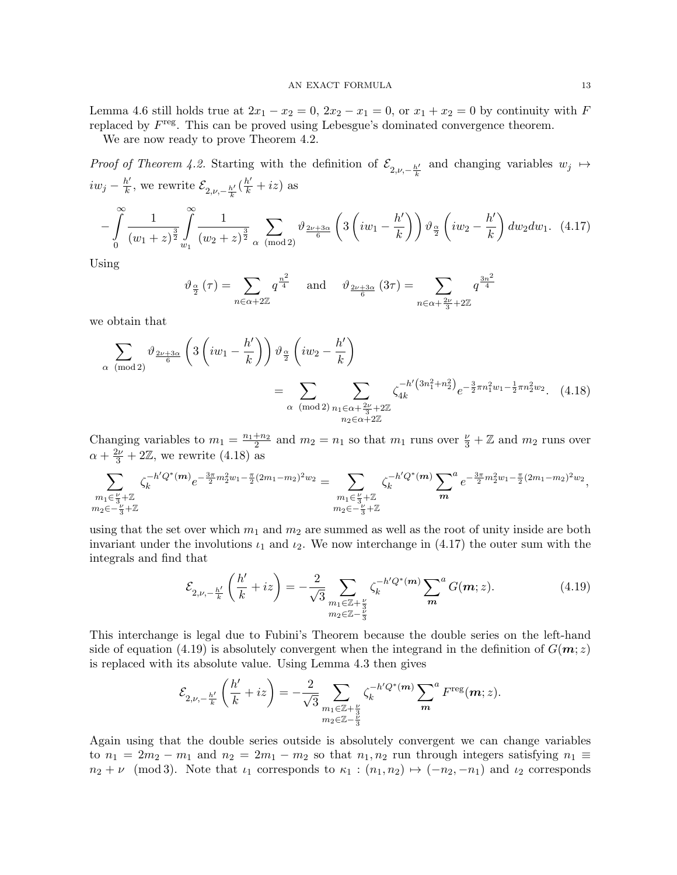Lemma 4.6 still holds true at  $2x_1 - x_2 = 0$ ,  $2x_2 - x_1 = 0$ , or  $x_1 + x_2 = 0$  by continuity with F replaced by  $F<sup>reg</sup>$ . This can be proved using Lebesgue's dominated convergence theorem.

We are now ready to prove Theorem 4.2.

Proof of Theorem 4.2. Starting with the definition of  $\mathcal{E}_{2,\nu,-\frac{h'}{k}}$  and changing variables  $w_j \mapsto$  $iw_j - \frac{h'}{k}$  $\frac{h'}{k}$ , we rewrite  $\mathcal{E}_{2,\nu,-\frac{h'}{k}}(\frac{h'}{k}+iz)$  as

$$
-\int_{0}^{\infty} \frac{1}{(w_1+z)^{\frac{3}{2}}} \int_{w_1}^{\infty} \frac{1}{(w_2+z)^{\frac{3}{2}}} \sum_{\alpha \pmod{2}} \vartheta_{\frac{2\nu+3\alpha}{6}} \left(3\left(iw_1-\frac{h'}{k}\right)\right) \vartheta_{\frac{\alpha}{2}} \left(iw_2-\frac{h'}{k}\right) dw_2 dw_1. (4.17)
$$

Using

$$
\vartheta_{\frac{\alpha}{2}}(\tau) = \sum_{n \in \alpha + 2\mathbb{Z}} q^{\frac{n^2}{4}} \quad \text{and} \quad \vartheta_{\frac{2\nu + 3\alpha}{6}}(3\tau) = \sum_{n \in \alpha + \frac{2\nu}{3} + 2\mathbb{Z}} q^{\frac{3n^2}{4}}
$$

we obtain that

$$
\sum_{\alpha \pmod{2}} \vartheta_{\frac{2\nu+3\alpha}{6}} \left( 3 \left( iw_1 - \frac{h'}{k} \right) \right) \vartheta_{\frac{\alpha}{2}} \left( iw_2 - \frac{h'}{k} \right)
$$
\n
$$
= \sum_{\alpha \pmod{2}} \sum_{\substack{n_1 \in \alpha + \frac{2\nu}{3} + 2\mathbb{Z} \\ n_2 \in \alpha + 2\mathbb{Z}}} \zeta_{4k}^{-h' \left( 3n_1^2 + n_2^2 \right)} e^{-\frac{3}{2}\pi n_1^2 w_1 - \frac{1}{2}\pi n_2^2 w_2} . \quad (4.18)
$$

Changing variables to  $m_1 = \frac{n_1+n_2}{2}$  and  $m_2 = n_1$  so that  $m_1$  runs over  $\frac{\nu}{3} + \mathbb{Z}$  and  $m_2$  runs over  $\alpha + \frac{2\nu}{3} + 2\mathbb{Z}$ , we rewrite (4.18) as

$$
\sum_{\substack{m_1 \in \frac{V}{3} + \mathbb{Z} \\ m_2 \in -\frac{V}{3} + \mathbb{Z}}} \zeta_k^{-h'Q^*(m)} e^{-\frac{3\pi}{2}m_2^2 w_1 - \frac{\pi}{2}(2m_1 - m_2)^2 w_2} = \sum_{\substack{m_1 \in \frac{V}{3} + \mathbb{Z} \\ m_2 \in -\frac{V}{3} + \mathbb{Z}}} \zeta_k^{-h'Q^*(m)} \sum_{m} a e^{-\frac{3\pi}{2}m_2^2 w_1 - \frac{\pi}{2}(2m_1 - m_2)^2 w_2},
$$

using that the set over which  $m_1$  and  $m_2$  are summed as well as the root of unity inside are both invariant under the involutions  $\iota_1$  and  $\iota_2$ . We now interchange in (4.17) the outer sum with the integrals and find that

$$
\mathcal{E}_{2,\nu,-\frac{h'}{k}}\left(\frac{h'}{k}+iz\right)=-\frac{2}{\sqrt{3}}\sum_{\substack{m_1\in\mathbb{Z}+\frac{\nu}{3}\\m_2\in\mathbb{Z}-\frac{u}{3}}}\zeta_k^{-h'Q^*(m)}\sum_{m}^aG(m;z). \hspace{1cm} (4.19)
$$

This interchange is legal due to Fubini's Theorem because the double series on the left-hand side of equation (4.19) is absolutely convergent when the integrand in the definition of  $G(m; z)$ is replaced with its absolute value. Using Lemma 4.3 then gives

$$
\mathcal{E}_{2,\nu,-\frac{h'}{k}}\left(\frac{h'}{k}+iz\right)=-\frac{2}{\sqrt{3}}\sum_{\substack{m_1\in\mathbb{Z}+\frac{\nu}{3}\\ m_2\in\mathbb{Z}-\frac{\nu}{3}}}\zeta_k^{-h'Q^*(\pmb{m})}\sum_{\pmb{m}}^{\pmb{m}}F^{\rm reg}(\pmb{m};z).
$$

Again using that the double series outside is absolutely convergent we can change variables to  $n_1 = 2m_2 - m_1$  and  $n_2 = 2m_1 - m_2$  so that  $n_1, n_2$  run through integers satisfying  $n_1 \equiv$  $n_2 + \nu \pmod{3}$ . Note that  $\iota_1$  corresponds to  $\kappa_1 : (n_1, n_2) \mapsto (-n_2, -n_1)$  and  $\iota_2$  corresponds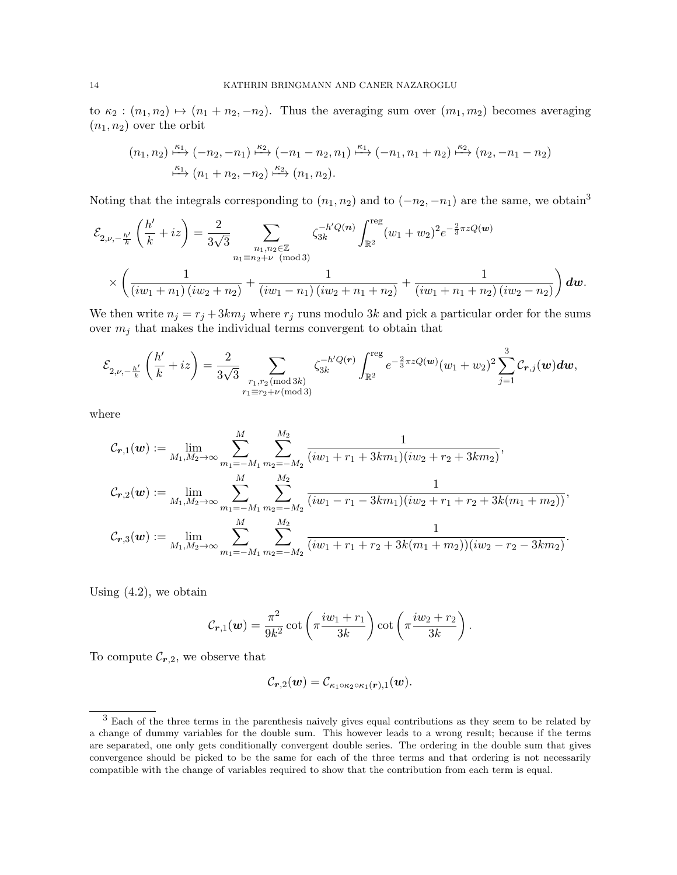to  $\kappa_2$ :  $(n_1, n_2) \mapsto (n_1 + n_2, -n_2)$ . Thus the averaging sum over  $(m_1, m_2)$  becomes averaging  $(n_1, n_2)$  over the orbit

$$
(n_1, n_2) \xrightarrow{\kappa_1} (-n_2, -n_1) \xrightarrow{\kappa_2} (-n_1 - n_2, n_1) \xrightarrow{\kappa_1} (-n_1, n_1 + n_2) \xrightarrow{\kappa_2} (n_2, -n_1 - n_2)
$$
  

$$
\xrightarrow{\kappa_1} (n_1 + n_2, -n_2) \xrightarrow{\kappa_2} (n_1, n_2).
$$

Noting that the integrals corresponding to  $(n_1, n_2)$  and to  $(-n_2, -n_1)$  are the same, we obtain<sup>3</sup>

$$
\mathcal{E}_{2,\nu,-\frac{h'}{k}}\left(\frac{h'}{k}+iz\right) = \frac{2}{3\sqrt{3}} \sum_{\substack{n_1,n_2 \in \mathbb{Z} \\ n_1 \equiv n_2+\nu \pmod{3}}} \zeta_{3k}^{-h'Q(n)} \int_{\mathbb{R}^2}^{\text{reg}} (w_1+w_2)^2 e^{-\frac{2}{3}\pi z Q(w)} \times \left(\frac{1}{(iw_1+n_1)(iw_2+n_2)} + \frac{1}{(iw_1-n_1)(iw_2+n_1+n_2)} + \frac{1}{(iw_1+n_1+n_2)(iw_2-n_2)}\right) dw.
$$

We then write  $n_j = r_j + 3km_j$  where  $r_j$  runs modulo 3k and pick a particular order for the sums over  $m_i$  that makes the individual terms convergent to obtain that

$$
\mathcal{E}_{2,\nu,-\frac{h'}{k}}\left(\frac{h'}{k}+iz\right)=\frac{2}{3\sqrt{3}}\sum_{\substack{r_1,r_2\,(\text{mod}\,3k)\\r_1\equiv r_2+\nu\,(\text{mod}\,3)}}\zeta_{3k}^{-h'Q(r)}\int_{\mathbb{R}^2}^{\text{reg}}e^{-\frac{2}{3}\pi zQ(\boldsymbol{w})}(w_1+w_2)^2\sum_{j=1}^3\mathcal{C}_{\boldsymbol{r},j}(\boldsymbol{w})d\boldsymbol{w},
$$

where

$$
\mathcal{C}_{\boldsymbol{r},1}(\boldsymbol{w}) := \lim_{M_1, M_2 \to \infty} \sum_{m_1 = -M_1}^{M} \sum_{m_2 = -M_2}^{M_2} \frac{1}{(iw_1 + r_1 + 3km_1)(iw_2 + r_2 + 3km_2)},
$$
  

$$
\mathcal{C}_{\boldsymbol{r},2}(\boldsymbol{w}) := \lim_{M_1, M_2 \to \infty} \sum_{m_1 = -M_1}^{M} \sum_{m_2 = -M_2}^{M_2} \frac{1}{(iw_1 - r_1 - 3km_1)(iw_2 + r_1 + r_2 + 3k(m_1 + m_2))},
$$
  

$$
\mathcal{C}_{\boldsymbol{r},3}(\boldsymbol{w}) := \lim_{M_1, M_2 \to \infty} \sum_{m_1 = -M_1}^{M} \sum_{m_2 = -M_2}^{M_2} \frac{1}{(iw_1 + r_1 + r_2 + 3k(m_1 + m_2))(iw_2 - r_2 - 3km_2)}.
$$

Using  $(4.2)$ , we obtain

$$
C_{\boldsymbol{r},1}(\boldsymbol{w}) = \frac{\pi^2}{9k^2} \cot\left(\pi \frac{i w_1 + r_1}{3k}\right) \cot\left(\pi \frac{i w_2 + r_2}{3k}\right).
$$

To compute  $\mathcal{C}_{r,2}$ , we observe that

$$
\mathcal{C}_{\boldsymbol{r},2}(\boldsymbol{w})=\mathcal{C}_{\kappa_1\circ\kappa_2\circ\kappa_1(\boldsymbol{r}),1}(\boldsymbol{w}).
$$

<sup>&</sup>lt;sup>3</sup> Each of the three terms in the parenthesis naively gives equal contributions as they seem to be related by a change of dummy variables for the double sum. This however leads to a wrong result; because if the terms are separated, one only gets conditionally convergent double series. The ordering in the double sum that gives convergence should be picked to be the same for each of the three terms and that ordering is not necessarily compatible with the change of variables required to show that the contribution from each term is equal.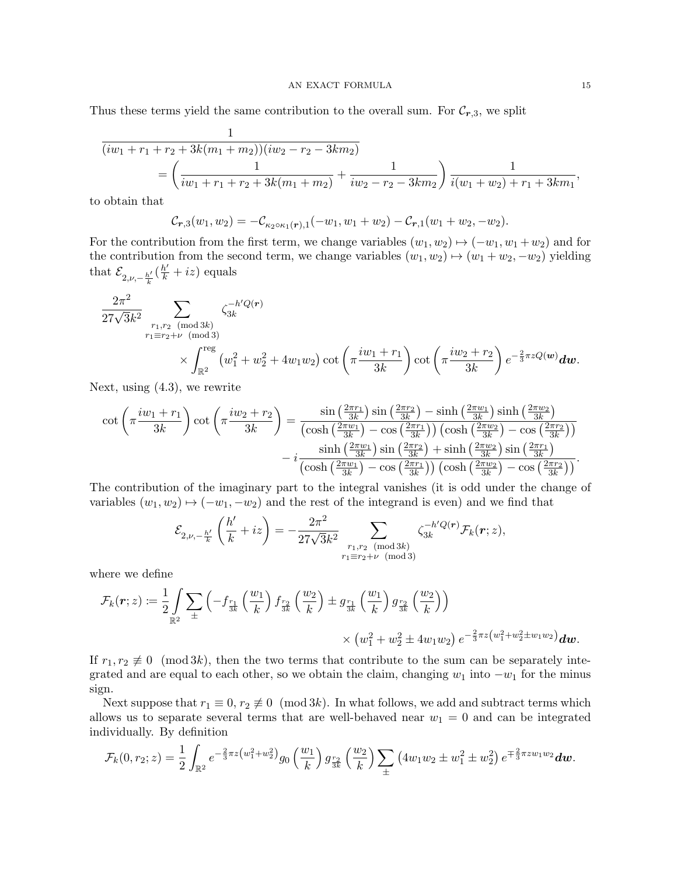Thus these terms yield the same contribution to the overall sum. For  $\mathcal{C}_{r,3}$ , we split

$$
\frac{1}{(iw_1 + r_1 + r_2 + 3k(m_1 + m_2))(iw_2 - r_2 - 3km_2)} = \left(\frac{1}{iw_1 + r_1 + r_2 + 3k(m_1 + m_2)} + \frac{1}{iw_2 - r_2 - 3km_2}\right) \frac{1}{i(w_1 + w_2) + r_1 + 3km_1},
$$

to obtain that

$$
\mathcal{C}_{\boldsymbol{r},3}(w_1,w_2)=-\mathcal{C}_{\kappa_2\circ\kappa_1(\boldsymbol{r}),1}(-w_1,w_1+w_2)-\mathcal{C}_{\boldsymbol{r},1}(w_1+w_2,-w_2).
$$

For the contribution from the first term, we change variables  $(w_1, w_2) \mapsto (-w_1, w_1 + w_2)$  and for the contribution from the second term, we change variables  $(w_1, w_2) \mapsto (w_1 + w_2, -w_2)$  yielding that  $\mathcal{E}_{2,\nu,-\frac{h'}{k}}(\frac{h'}{k}+iz)$  equals

$$
\begin{split} \frac{2\pi^2}{27\sqrt{3}k^2} & \sum_{\substack{r_1,r_2 \pmod{3k} \\ r_1 \equiv r_2 + \nu \pmod{3}}} \zeta_{3k}^{-h'Q(r)} \\ & \times \int_{\mathbb{R}^2}^{\text{reg}} \left( w_1^2 + w_2^2 + 4w_1w_2 \right) \cot\left(\pi \frac{iw_1 + r_1}{3k}\right) \cot\left(\pi \frac{iw_2 + r_2}{3k}\right) e^{-\frac{2}{3}\pi z Q(\boldsymbol{w})} d\boldsymbol{w}. \end{split}
$$

Next, using (4.3), we rewrite

$$
\cot\left(\pi\frac{iw_1+r_1}{3k}\right)\cot\left(\pi\frac{iw_2+r_2}{3k}\right)=\frac{\sin\left(\frac{2\pi r_1}{3k}\right)\sin\left(\frac{2\pi r_2}{3k}\right)-\sinh\left(\frac{2\pi w_1}{3k}\right)\sinh\left(\frac{2\pi w_2}{3k}\right)}{\left(\cosh\left(\frac{2\pi w_1}{3k}\right)-\cos\left(\frac{2\pi r_1}{3k}\right)\right)\left(\cosh\left(\frac{2\pi w_2}{3k}\right)-\cos\left(\frac{2\pi r_2}{3k}\right)\right)}-\frac{\sinh\left(\frac{2\pi w_1}{3k}\right)\sin\left(\frac{2\pi w_2}{3k}\right)\sin\left(\frac{2\pi w_2}{3k}\right)-\cos\left(\frac{2\pi r_1}{3k}\right)}{\left(\cosh\left(\frac{2\pi w_1}{3k}\right)-\cos\left(\frac{2\pi r_1}{3k}\right)\right)\left(\cosh\left(\frac{2\pi w_2}{3k}\right)-\cos\left(\frac{2\pi r_2}{3k}\right)\right)}.
$$

The contribution of the imaginary part to the integral vanishes (it is odd under the change of variables  $(w_1, w_2) \mapsto (-w_1, -w_2)$  and the rest of the integrand is even) and we find that

$$
\mathcal{E}_{2,\nu,-\frac{h'}{k}}\left(\frac{h'}{k}+iz\right)=-\frac{2\pi^2}{27\sqrt{3}k^2}\sum_{\substack{r_1,r_2\pmod{3k}\\r_1\equiv r_2+\nu\pmod{3}}} \zeta_{3k}^{-h'Q(r)}\mathcal{F}_k(r;z),
$$

where we define

$$
\mathcal{F}_k(\mathbf{r};z) := \frac{1}{2} \int\limits_{\mathbb{R}^2} \sum_{\pm} \left( -f_{\frac{r_1}{3k}}\left(\frac{w_1}{k}\right) f_{\frac{r_2}{3k}}\left(\frac{w_2}{k}\right) \pm g_{\frac{r_1}{3k}}\left(\frac{w_1}{k}\right) g_{\frac{r_2}{3k}}\left(\frac{w_2}{k}\right) \right) \times \left( w_1^2 + w_2^2 \pm 4w_1w_2 \right) e^{-\frac{2}{3}\pi z \left(w_1^2 + w_2^2 \pm w_1w_2\right)} dw.
$$

If  $r_1, r_2 \not\equiv 0 \pmod{3k}$ , then the two terms that contribute to the sum can be separately integrated and are equal to each other, so we obtain the claim, changing  $w_1$  into  $-w_1$  for the minus sign.

Next suppose that  $r_1 \equiv 0, r_2 \not\equiv 0 \pmod{3k}$ . In what follows, we add and subtract terms which allows us to separate several terms that are well-behaved near  $w_1 = 0$  and can be integrated individually. By definition

$$
\mathcal{F}_k(0,r_2;z) = \frac{1}{2} \int_{\mathbb{R}^2} e^{-\frac{2}{3}\pi z (w_1^2 + w_2^2)} g_0\left(\frac{w_1}{k}\right) g_{\frac{r_2}{3k}}\left(\frac{w_2}{k}\right) \sum_{\pm} \left(4w_1w_2 \pm w_1^2 \pm w_2^2\right) e^{\mp\frac{2}{3}\pi zw_1w_2} dw.
$$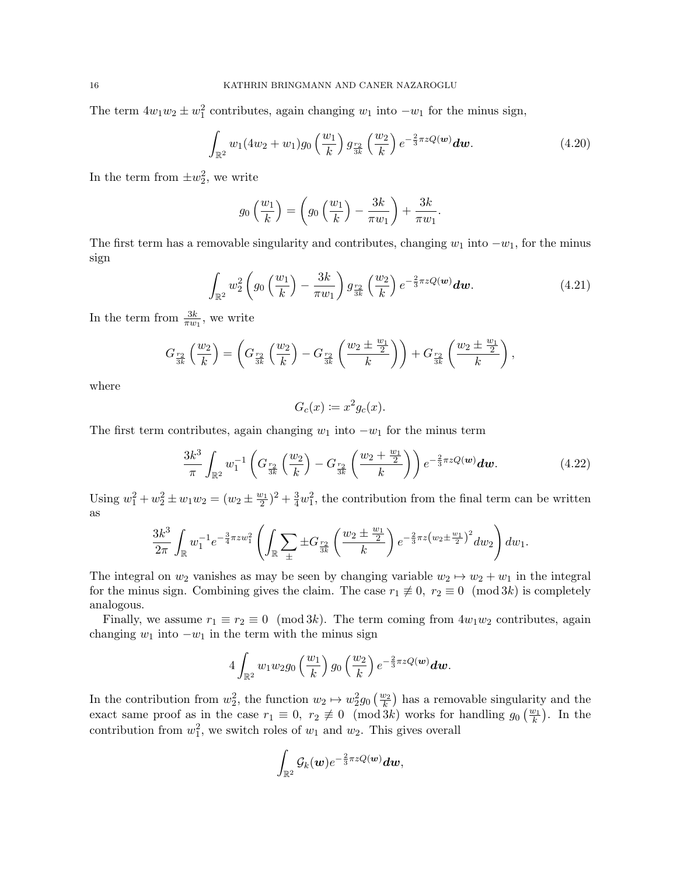The term  $4w_1w_2 \pm w_1^2$  contributes, again changing  $w_1$  into  $-w_1$  for the minus sign,

$$
\int_{\mathbb{R}^2} w_1(4w_2 + w_1) g_0\left(\frac{w_1}{k}\right) g_{\frac{r_2}{3k}}\left(\frac{w_2}{k}\right) e^{-\frac{2}{3}\pi z Q(\boldsymbol{w})} d\boldsymbol{w}.
$$
 (4.20)

.

In the term from  $\pm w_2^2$ , we write

$$
g_0\left(\frac{w_1}{k}\right) = \left(g_0\left(\frac{w_1}{k}\right) - \frac{3k}{\pi w_1}\right) + \frac{3k}{\pi w_1}
$$

The first term has a removable singularity and contributes, changing  $w_1$  into  $-w_1$ , for the minus sign

$$
\int_{\mathbb{R}^2} w_2^2 \left( g_0 \left( \frac{w_1}{k} \right) - \frac{3k}{\pi w_1} \right) g_{\frac{r_2}{3k}} \left( \frac{w_2}{k} \right) e^{-\frac{2}{3}\pi z Q(\boldsymbol{w})} d\boldsymbol{w}.
$$
\n(4.21)

In the term from  $\frac{3k}{\pi w_1}$ , we write

$$
G_{\frac{r_2}{3k}}\left(\frac{w_2}{k}\right) = \left(G_{\frac{r_2}{3k}}\left(\frac{w_2}{k}\right) - G_{\frac{r_2}{3k}}\left(\frac{w_2 \pm \frac{w_1}{2}}{k}\right)\right) + G_{\frac{r_2}{3k}}\left(\frac{w_2 \pm \frac{w_1}{2}}{k}\right),
$$

where

$$
G_c(x) \coloneqq x^2 g_c(x).
$$

The first term contributes, again changing  $w_1$  into  $-w_1$  for the minus term

$$
\frac{3k^3}{\pi} \int_{\mathbb{R}^2} w_1^{-1} \left( G_{\frac{r_2}{3k}} \left( \frac{w_2}{k} \right) - G_{\frac{r_2}{3k}} \left( \frac{w_2 + \frac{w_1}{2}}{k} \right) \right) e^{-\frac{2}{3}\pi z Q(\boldsymbol{w})} d\boldsymbol{w}.
$$
 (4.22)

Using  $w_1^2 + w_2^2 \pm w_1 w_2 = (w_2 \pm \frac{w_1}{2})^2 + \frac{3}{4} w_1^2$ , the contribution from the final term can be written as

$$
\frac{3k^3}{2\pi} \int_{\mathbb{R}} w_1^{-1} e^{-\frac{3}{4}\pi zw_1^2} \left( \int_{\mathbb{R}} \sum_{\pm} \pm G_{\frac{r_2}{3k}} \left( \frac{w_2 \pm \frac{w_1}{2}}{k} \right) e^{-\frac{2}{3}\pi z \left(w_2 \pm \frac{w_1}{2}\right)^2} dw_2 \right) dw_1.
$$

The integral on  $w_2$  vanishes as may be seen by changing variable  $w_2 \mapsto w_2 + w_1$  in the integral for the minus sign. Combining gives the claim. The case  $r_1 \not\equiv 0$ ,  $r_2 \equiv 0 \pmod{3k}$  is completely analogous.

Finally, we assume  $r_1 \equiv r_2 \equiv 0 \pmod{3k}$ . The term coming from  $4w_1w_2$  contributes, again changing  $w_1$  into  $-w_1$  in the term with the minus sign

$$
4\int_{\mathbb{R}^2}w_1w_2g_0\left(\frac{w_1}{k}\right)g_0\left(\frac{w_2}{k}\right)e^{-\frac{2}{3}\pi zQ(\boldsymbol{w})}\boldsymbol{dw}.
$$

In the contribution from  $w_2^2$ , the function  $w_2 \mapsto w_2^2 g_0\left(\frac{w_2}{k}\right)$  has a removable singularity and the exact same proof as in the case  $r_1 \equiv 0$ ,  $r_2 \not\equiv 0 \pmod{3k}$  works for handling  $g_0\left(\frac{w_1}{k}\right)$ . In the contribution from  $w_1^2$ , we switch roles of  $w_1$  and  $w_2$ . This gives overall

$$
\int_{\mathbb{R}^2}\mathcal{G}_k(\boldsymbol{w})e^{-\frac{2}{3}\pi z Q(\boldsymbol{w})}\boldsymbol{dw},
$$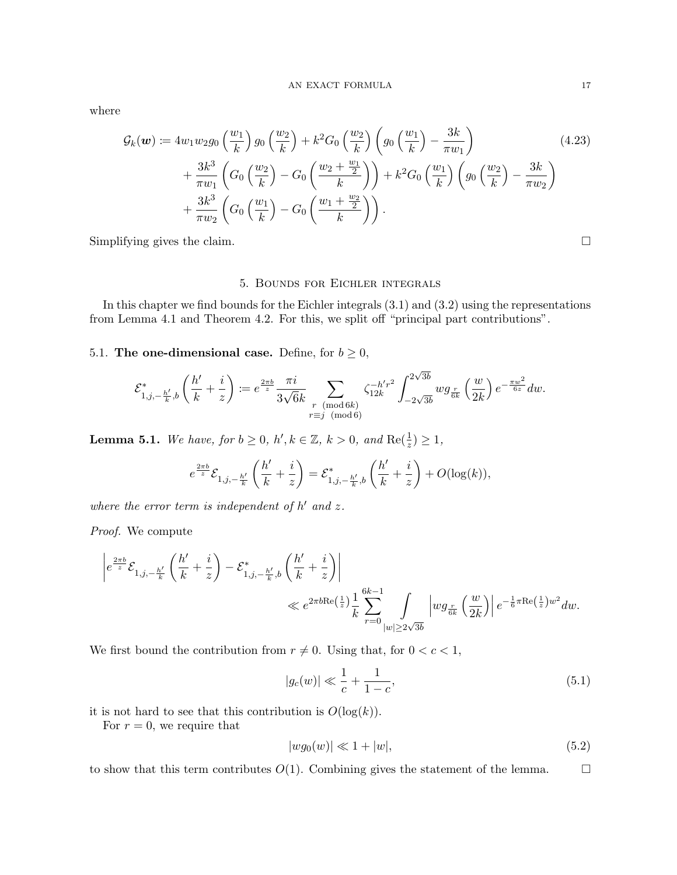where

$$
\mathcal{G}_{k}(\boldsymbol{w}) \coloneqq 4w_{1}w_{2}g_{0}\left(\frac{w_{1}}{k}\right)g_{0}\left(\frac{w_{2}}{k}\right) + k^{2}G_{0}\left(\frac{w_{2}}{k}\right)\left(g_{0}\left(\frac{w_{1}}{k}\right) - \frac{3k}{\pi w_{1}}\right) \n+ \frac{3k^{3}}{\pi w_{1}}\left(G_{0}\left(\frac{w_{2}}{k}\right) - G_{0}\left(\frac{w_{2} + \frac{w_{1}}{2}}{k}\right)\right) + k^{2}G_{0}\left(\frac{w_{1}}{k}\right)\left(g_{0}\left(\frac{w_{2}}{k}\right) - \frac{3k}{\pi w_{2}}\right) \n+ \frac{3k^{3}}{\pi w_{2}}\left(G_{0}\left(\frac{w_{1}}{k}\right) - G_{0}\left(\frac{w_{1} + \frac{w_{2}}{2}}{k}\right)\right).
$$
\n(4.23)

Simplifying gives the claim.  $\Box$ 

### 5. Bounds for Eichler integrals

In this chapter we find bounds for the Eichler integrals (3.1) and (3.2) using the representations from Lemma 4.1 and Theorem 4.2. For this, we split off "principal part contributions".

5.1. The one-dimensional case. Define, for  $b \geq 0$ ,

$$
\mathcal{E}^*_{1,j,-\frac{h'}{k},b}\left(\frac{h'}{k}+\frac{i}{z}\right)\coloneqq e^{\frac{2\pi b}{z}}\frac{\pi i}{3\sqrt{6}k}\sum_{\substack{r\pmod{6k}\\r\equiv j\pmod{6}}} \zeta_{12k}^{-h'r^2}\int_{-2\sqrt{3b}}^{2\sqrt{3b}}wg_{\frac{r}{6k}}\left(\frac{w}{2k}\right)e^{-\frac{\pi w^2}{6z}}dw.
$$

**Lemma 5.1.** We have, for  $b \geq 0$ ,  $h', k \in \mathbb{Z}$ ,  $k > 0$ , and  $Re(\frac{1}{z}) \geq 1$ ,

$$
e^{\frac{2\pi b}{z}}\mathcal{E}_{1,j,-\frac{h'}{k}}\left(\frac{h'}{k}+\frac{i}{z}\right)=\mathcal{E}^*_{1,j,-\frac{h'}{k},b}\left(\frac{h'}{k}+\frac{i}{z}\right)+O(\log(k)),
$$

where the error term is independent of  $h'$  and  $z$ .

Proof. We compute

$$
\begin{split} \left|e^{\frac{2\pi b}{z}}\mathcal{E}_{1,j,-\frac{h'}{k}}\left(\frac{h'}{k}+\frac{i}{z}\right)-\mathcal{E}_{1,j,-\frac{h'}{k},b}^*\left(\frac{h'}{k}+\frac{i}{z}\right)\right|\\ \ll e^{2\pi b\mathrm{Re}\left(\frac{1}{z}\right)}\frac{1}{k}\sum_{r=0}^{6k-1}\int\limits_{|w|\geq2\sqrt{3b}}\left|wg_{\frac{r}{6k}}\left(\frac{w}{2k}\right)\right|e^{-\frac{1}{6}\pi \mathrm{Re}\left(\frac{1}{z}\right)w^2}dw. \end{split}
$$

We first bound the contribution from  $r \neq 0$ . Using that, for  $0 < c < 1$ ,

$$
|g_c(w)| \ll \frac{1}{c} + \frac{1}{1-c},\tag{5.1}
$$

it is not hard to see that this contribution is  $O(\log(k)).$ 

For  $r = 0$ , we require that

$$
|wg_0(w)| \ll 1 + |w|,\tag{5.2}
$$

to show that this term contributes  $O(1)$ . Combining gives the statement of the lemma.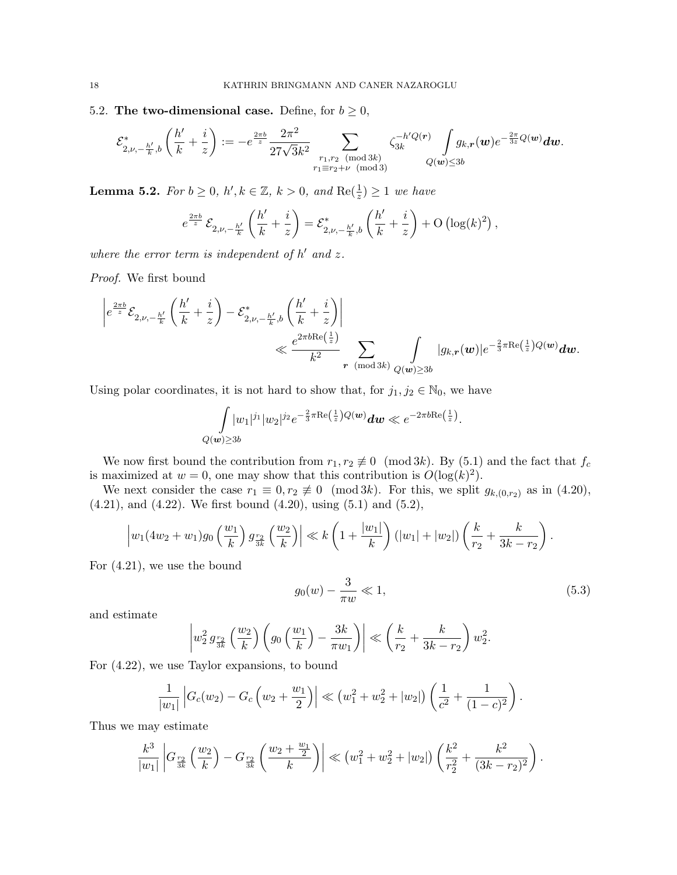5.2. The two-dimensional case. Define, for  $b \geq 0$ ,

$$
\mathcal{E}^*_{2,\nu,-\frac{h'}{k},b}\left(\frac{h'}{k}+\frac{i}{z}\right):=-e^{\frac{2\pi b}{z}}\frac{2\pi^2}{27\sqrt{3}k^2}\sum_{\substack{r_1,r_2\pmod{3k}\\r_1\equiv r_2+\nu\pmod{3}}}\zeta_{3k}^{-h'Q(r)}\int\limits_{Q(\bm{w})\leq 3b}g_{k,r}(\bm{w})e^{-\frac{2\pi}{3z}Q(\bm{w})}\bm{dw}.
$$

**Lemma 5.2.** For  $b \geq 0$ ,  $h', k \in \mathbb{Z}$ ,  $k > 0$ , and  $Re(\frac{1}{z}) \geq 1$  we have

$$
e^{\frac{2\pi b}{z}}\mathcal{E}_{2,\nu,-\frac{h'}{k}}\left(\frac{h'}{k}+\frac{i}{z}\right)=\mathcal{E}_{2,\nu,-\frac{h'}{k},b}^*\left(\frac{h'}{k}+\frac{i}{z}\right)+\mathrm{O}\left(\log(k)^2\right),\,
$$

where the error term is independent of  $h'$  and  $z$ .

Proof. We first bound

$$
\begin{aligned} \left|e^{\frac{2\pi b}{z}}\mathcal{E}_{2,\nu,-\frac{h'}{k}}\left(\frac{h'}{k}+\frac{i}{z}\right)-\mathcal{E}^*_{2,\nu,-\frac{h'}{k},b}\left(\frac{h'}{k}+\frac{i}{z}\right)\right|\\ \ll& \frac{e^{2\pi b\mathrm{Re}\left(\frac{1}{z}\right)}}{k^2} \sum_{\mathbf{r}\pmod{3k}}\int_{Q(\pmb{w})\geq 3b}|g_{k,\mathbf{r}}(\pmb{w})|e^{-\frac{2}{3}\pi \mathrm{Re}\left(\frac{1}{z}\right)Q(\pmb{w})}\pmb{dw}. \end{aligned}
$$

Using polar coordinates, it is not hard to show that, for  $j_1, j_2 \in \mathbb{N}_0$ , we have

$$
\int_{Q(\mathbf{w}) \ge 3b} |w_1|^{j_1}|w_2|^{j_2} e^{-\frac{2}{3}\pi \text{Re}\left(\frac{1}{z}\right)Q(\mathbf{w})} d\mathbf{w} \ll e^{-2\pi b \text{Re}\left(\frac{1}{z}\right)}.
$$

We now first bound the contribution from  $r_1, r_2 \not\equiv 0 \pmod{3k}$ . By (5.1) and the fact that  $f_c$ is maximized at  $w = 0$ , one may show that this contribution is  $O(\log(k)^2)$ .

We next consider the case  $r_1 \equiv 0, r_2 \not\equiv 0 \pmod{3k}$ . For this, we split  $g_{k,(0,r_2)}$  as in (4.20),  $(4.21)$ , and  $(4.22)$ . We first bound  $(4.20)$ , using  $(5.1)$  and  $(5.2)$ ,

$$
\left|w_1(4w_2+w_1)g_0\left(\frac{w_1}{k}\right)g_{\frac{r_2}{3k}}\left(\frac{w_2}{k}\right)\right| \ll k\left(1+\frac{|w_1|}{k}\right)(|w_1|+|w_2|)\left(\frac{k}{r_2}+\frac{k}{3k-r_2}\right).
$$

For (4.21), we use the bound

$$
g_0(w) - \frac{3}{\pi w} \ll 1,\tag{5.3}
$$

and estimate

$$
\left| w_2^2 g_{\frac{r_2}{3k}}\left(\frac{w_2}{k}\right) \left(g_0\left(\frac{w_1}{k}\right) - \frac{3k}{\pi w_1}\right) \right| \ll \left(\frac{k}{r_2} + \frac{k}{3k - r_2}\right) w_2^2.
$$

For (4.22), we use Taylor expansions, to bound

$$
\frac{1}{|w_1|}\left|G_c(w_2)-G_c\left(w_2+\frac{w_1}{2}\right)\right|\ll (w_1^2+w_2^2+|w_2|)\left(\frac{1}{c^2}+\frac{1}{(1-c)^2}\right).
$$

Thus we may estimate

$$
\frac{k^3}{|w_1|}\left|G_{\frac{r_2}{3k}}\left(\frac{w_2}{k}\right)-G_{\frac{r_2}{3k}}\left(\frac{w_2+\frac{w_1}{2}}{k}\right)\right| \ll \left(w_1^2+w_2^2+|w_2|\right)\left(\frac{k^2}{r_2^2}+\frac{k^2}{(3k-r_2)^2}\right).
$$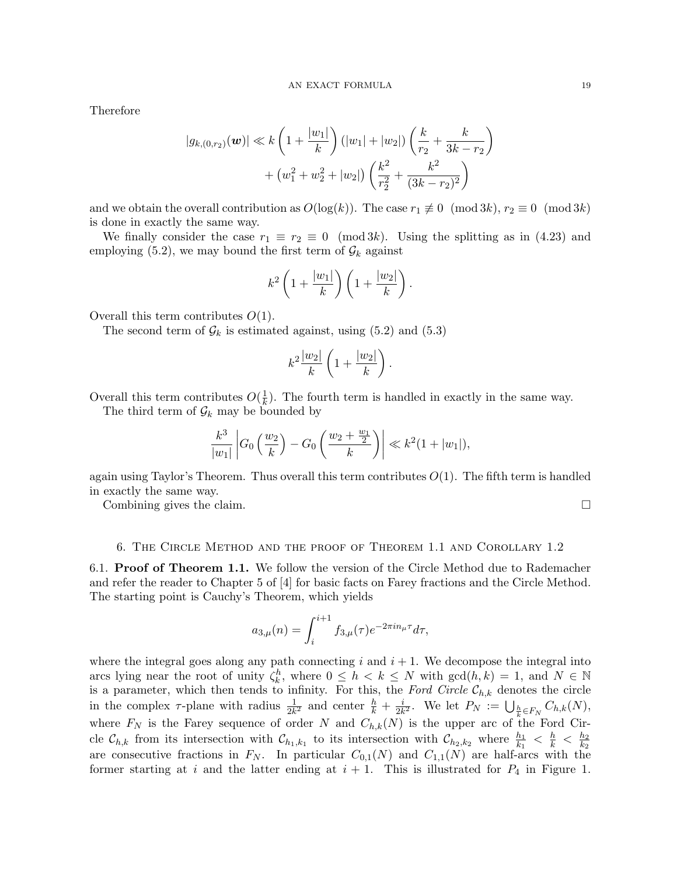Therefore

$$
|g_{k,(0,r_2)}(\mathbf{w})| \ll k \left(1 + \frac{|w_1|}{k}\right) (|w_1| + |w_2|) \left(\frac{k}{r_2} + \frac{k}{3k - r_2}\right) + (w_1^2 + w_2^2 + |w_2|) \left(\frac{k^2}{r_2^2} + \frac{k^2}{(3k - r_2)^2}\right)
$$

and we obtain the overall contribution as  $O(\log(k))$ . The case  $r_1 \not\equiv 0 \pmod{3k}$ ,  $r_2 \equiv 0 \pmod{3k}$ is done in exactly the same way.

We finally consider the case  $r_1 \equiv r_2 \equiv 0 \pmod{3k}$ . Using the splitting as in (4.23) and employing (5.2), we may bound the first term of  $\mathcal{G}_k$  against

$$
k^2 \left(1 + \frac{|w_1|}{k}\right) \left(1 + \frac{|w_2|}{k}\right).
$$

Overall this term contributes  $O(1)$ .

The second term of  $\mathcal{G}_k$  is estimated against, using (5.2) and (5.3)

$$
k^2\frac{|w_2|}{k}\left(1+\frac{|w_2|}{k}\right).
$$

Overall this term contributes  $O(\frac{1}{k})$  $\frac{1}{k}$ ). The fourth term is handled in exactly in the same way.

The third term of  $\mathcal{G}_k$  may be bounded by

$$
\frac{k^3}{|w_1|} \left| G_0 \left( \frac{w_2}{k} \right) - G_0 \left( \frac{w_2 + \frac{w_1}{2}}{k} \right) \right| \ll k^2 (1 + |w_1|),
$$

again using Taylor's Theorem. Thus overall this term contributes  $O(1)$ . The fifth term is handled in exactly the same way.

Combining gives the claim.

### 6. The Circle Method and the proof of Theorem 1.1 and Corollary 1.2

6.1. Proof of Theorem 1.1. We follow the version of the Circle Method due to Rademacher and refer the reader to Chapter 5 of [4] for basic facts on Farey fractions and the Circle Method. The starting point is Cauchy's Theorem, which yields

$$
a_{3,\mu}(n) = \int_{i}^{i+1} f_{3,\mu}(\tau) e^{-2\pi i n_{\mu}\tau} d\tau,
$$

where the integral goes along any path connecting  $i$  and  $i + 1$ . We decompose the integral into arcs lying near the root of unity  $\zeta_k^h$ , where  $0 \le h \le k \le N$  with  $\gcd(h, k) = 1$ , and  $N \in \mathbb{N}$ is a parameter, which then tends to infinity. For this, the Ford Circle  $\mathcal{C}_{h,k}$  denotes the circle in the complex  $\tau$ -plane with radius  $\frac{1}{2k^2}$  and center  $\frac{h}{k} + \frac{i}{2k}$  $\frac{i}{2k^2}$ . We let  $P_N := \bigcup_{\frac{h}{k} \in F_N} C_{h,k}(N)$ , where  $F_N$  is the Farey sequence of order N and  $C_{h,k}(N)$  is the upper arc of the Ford Circle  $\mathcal{C}_{h,k}$  from its intersection with  $\mathcal{C}_{h_1,k_1}$  to its intersection with  $\mathcal{C}_{h_2,k_2}$  where  $\frac{h_1}{k_1} < \frac{h}{k} < \frac{h_2}{k_2}$  $_{k_2}$ are consecutive fractions in  $F_N$ . In particular  $C_{0,1}(N)$  and  $C_{1,1}(N)$  are half-arcs with the former starting at i and the latter ending at  $i + 1$ . This is illustrated for  $P_4$  in Figure 1.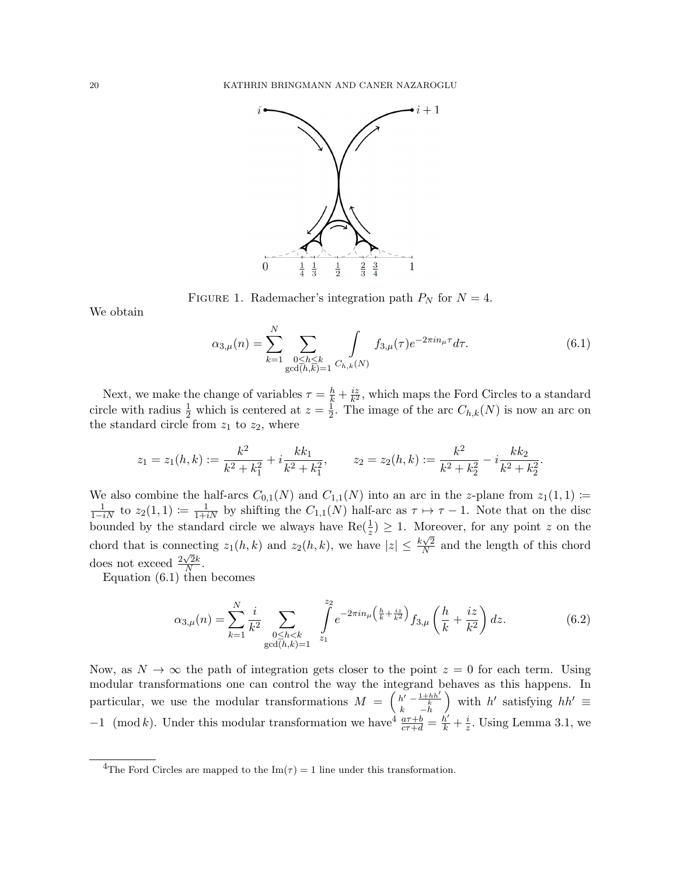

FIGURE 1. Rademacher's integration path  $P_N$  for  $N = 4$ .

We obtain

$$
\alpha_{3,\mu}(n) = \sum_{k=1}^{N} \sum_{\substack{0 \le h \le k \\ \gcd(h,k)=1}} \int_{C_{h,k}(N)} f_{3,\mu}(\tau) e^{-2\pi i n_{\mu}\tau} d\tau.
$$
 (6.1)

.

Next, we make the change of variables  $\tau = \frac{h}{k} + \frac{iz}{k^2}$  $\frac{iz}{k^2}$ , which maps the Ford Circles to a standard circle with radius  $\frac{1}{2}$  which is centered at  $z = \frac{1}{2}$  $\frac{1}{2}$ . The image of the arc  $C_{h,k}(N)$  is now an arc on the standard circle from  $z_1$  to  $z_2$ , where

$$
z_1 = z_1(h, k) := \frac{k^2}{k^2 + k_1^2} + i \frac{k k_1}{k^2 + k_1^2}, \qquad z_2 = z_2(h, k) := \frac{k^2}{k^2 + k_2^2} - i \frac{k k_2}{k^2 + k_2^2}
$$

We also combine the half-arcs  $C_{0,1}(N)$  and  $C_{1,1}(N)$  into an arc in the z-plane from  $z_1(1,1) \coloneqq$  $\frac{1}{1-iN}$  to  $z_2(1,1) \coloneqq \frac{1}{1+iN}$  by shifting the  $C_{1,1}(N)$  half-arc as  $\tau \mapsto \tau - 1$ . Note that on the disc bounded by the standard circle we always have  $\text{Re}(\frac{1}{z}) \geq 1$ . Moreover, for any point z on the chord that is connecting  $z_1(h, k)$  and  $z_2(h, k)$ , we have  $|z| \leq \frac{k\sqrt{2}}{N}$ necting  $z_1(h, k)$  and  $z_2(h, k)$ , we have  $|z| \leq \frac{k\sqrt{2}}{N}$  and the length of this chord does not exceed  $\frac{2\sqrt{2k}}{N}$  $\frac{\sqrt{2k}}{N}$ .

Equation (6.1) then becomes

$$
\alpha_{3,\mu}(n) = \sum_{k=1}^{N} \frac{i}{k^2} \sum_{\substack{0 \le h < k \\ \gcd(h,k)=1}} \int_{z_1}^{z_2} e^{-2\pi i n_{\mu} \left(\frac{h}{k} + \frac{iz}{k^2}\right)} f_{3,\mu}\left(\frac{h}{k} + \frac{iz}{k^2}\right) dz.
$$
 (6.2)

Now, as  $N \to \infty$  the path of integration gets closer to the point  $z = 0$  for each term. Using modular transformations one can control the way the integrand behaves as this happens. In particular, we use the modular transformations  $M = \begin{pmatrix} h' & -\frac{1+hh'}{k} \\ k & -h \end{pmatrix}$ ) with h' satisfying  $hh' \equiv$ −1 (mod k). Under this modular transformation we have  $\frac{a\tau+b}{c\tau+d} = \frac{h'}{k} + \frac{i}{z}$  $\frac{i}{z}$ . Using Lemma 3.1, we

<sup>&</sup>lt;sup>4</sup>The Ford Circles are mapped to the Im( $\tau$ ) = 1 line under this transformation.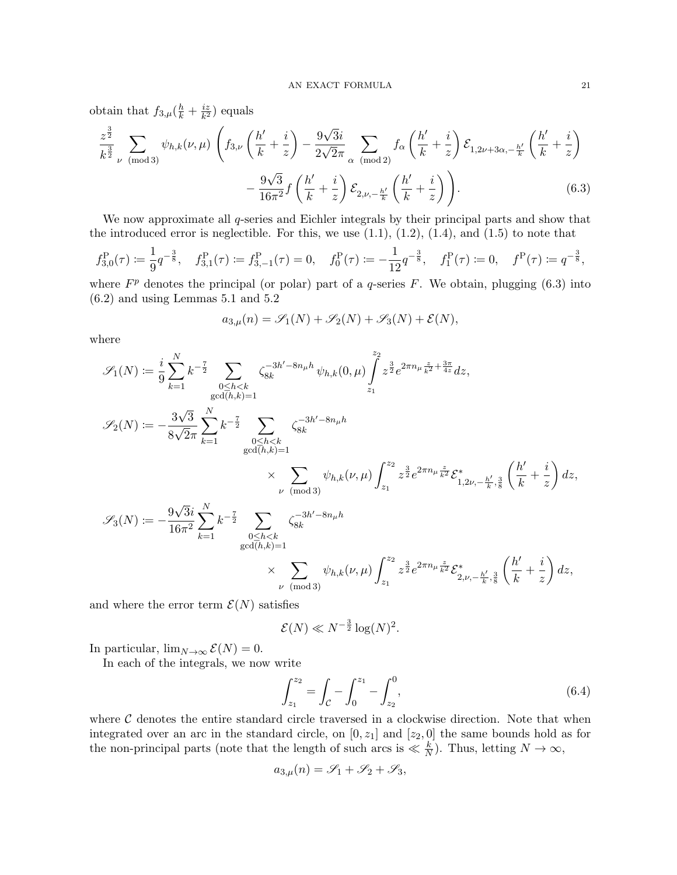obtain that  $f_{3,\mu}(\frac{h}{k} + \frac{iz}{k^2})$  $\frac{i z}{k^2}$ ) equals

$$
\frac{z^{\frac{3}{2}}}{k^{\frac{3}{2}}} \sum_{\nu \pmod{3}} \psi_{h,k}(\nu,\mu) \left( f_{3,\nu} \left( \frac{h'}{k} + \frac{i}{z} \right) - \frac{9\sqrt{3}i}{2\sqrt{2}\pi} \sum_{\alpha \pmod{2}} f_{\alpha} \left( \frac{h'}{k} + \frac{i}{z} \right) \mathcal{E}_{1,2\nu+3\alpha,-\frac{h'}{k}} \left( \frac{h'}{k} + \frac{i}{z} \right) - \frac{9\sqrt{3}}{16\pi^2} f \left( \frac{h'}{k} + \frac{i}{z} \right) \mathcal{E}_{2,\nu,-\frac{h'}{k}} \left( \frac{h'}{k} + \frac{i}{z} \right) \right).
$$
\n(6.3)

We now approximate all q-series and Eichler integrals by their principal parts and show that the introduced error is neglectible. For this, we use  $(1.1)$ ,  $(1.2)$ ,  $(1.4)$ , and  $(1.5)$  to note that

$$
f_{3,0}^{\rm P}(\tau) \coloneqq \frac{1}{9} q^{-\frac{3}{8}}, \quad f_{3,1}^{\rm P}(\tau) \coloneqq f_{3,-1}^{\rm P}(\tau) = 0, \quad f_0^{\rm P}(\tau) \coloneqq -\frac{1}{12} q^{-\frac{3}{8}}, \quad f_1^{\rm P}(\tau) \coloneqq 0, \quad f^{\rm P}(\tau) \coloneqq q^{-\frac{3}{8}},
$$

where  $F<sup>p</sup>$  denotes the principal (or polar) part of a q-series F. We obtain, plugging (6.3) into (6.2) and using Lemmas 5.1 and 5.2

$$
a_{3,\mu}(n) = \mathscr{S}_1(N) + \mathscr{S}_2(N) + \mathscr{S}_3(N) + \mathcal{E}(N),
$$

where

$$
\mathscr{S}_{1}(N) := \frac{i}{9} \sum_{k=1}^{N} k^{-\frac{7}{2}} \sum_{\substack{0 \le h < k \ \gcd(h,k)=1}} \zeta_{8k}^{-3h'-8n_{\mu}h} \psi_{h,k}(0,\mu) \int_{z_{1}}^{z_{2}} z^{\frac{3}{2}} e^{2\pi n_{\mu} \frac{z}{k^{2}} + \frac{3\pi}{4z}} dz,
$$
  

$$
\mathscr{S}_{2}(N) := -\frac{3\sqrt{3}}{8\sqrt{2\pi}} \sum_{k=1}^{N} k^{-\frac{7}{2}} \sum_{\substack{0 \le h < k \ \gcd(h,k)=1}} \zeta_{8k}^{-3h'-8n_{\mu}h}
$$
  

$$
\times \sum_{\substack{\nu \pmod{3}}} \psi_{h,k}(\nu,\mu) \int_{z_{1}}^{z_{2}} z^{\frac{3}{2}} e^{2\pi n_{\mu} \frac{z}{k^{2}}} \mathcal{E}_{1,2\nu,-\frac{h'}{k},\frac{3}{8}}^{*} \left(\frac{h'}{k} + \frac{i}{z}\right) dz,
$$
  

$$
\mathscr{S}_{3}(N) := -\frac{9\sqrt{3}i}{16\pi^{2}} \sum_{k=1}^{N} k^{-\frac{7}{2}} \sum_{\substack{0 \le h < k \ \gcd(h,k)=1}} \zeta_{8k}^{-3h'-8n_{\mu}h}
$$
  

$$
\times \sum_{\substack{\nu \pmod{3}}} \psi_{h,k}(\nu,\mu) \int_{z_{1}}^{z_{2}} z^{\frac{3}{2}} e^{2\pi n_{\mu} \frac{z}{k^{2}}} \mathcal{E}_{2,\nu,-\frac{h'}{k},\frac{3}{8}}^{*} \left(\frac{h'}{k} + \frac{i}{z}\right) dz,
$$

and where the error term  $\mathcal{E}(N)$  satisfies

$$
\mathcal{E}(N) \ll N^{-\frac{3}{2}} \log(N)^2.
$$

In particular,  $\lim_{N\to\infty} \mathcal{E}(N) = 0$ .

In each of the integrals, we now write

$$
\int_{z_1}^{z_2} = \int_{\mathcal{C}} - \int_0^{z_1} - \int_{z_2}^0,\tag{6.4}
$$

where  $\mathcal C$  denotes the entire standard circle traversed in a clockwise direction. Note that when integrated over an arc in the standard circle, on  $[0, z<sub>1</sub>]$  and  $[z<sub>2</sub>, 0]$  the same bounds hold as for the non-principal parts (note that the length of such arcs is  $\ll \frac{k}{N}$ ). Thus, letting  $N \to \infty$ ,

$$
a_{3,\mu}(n) = \mathcal{S}_1 + \mathcal{S}_2 + \mathcal{S}_3,
$$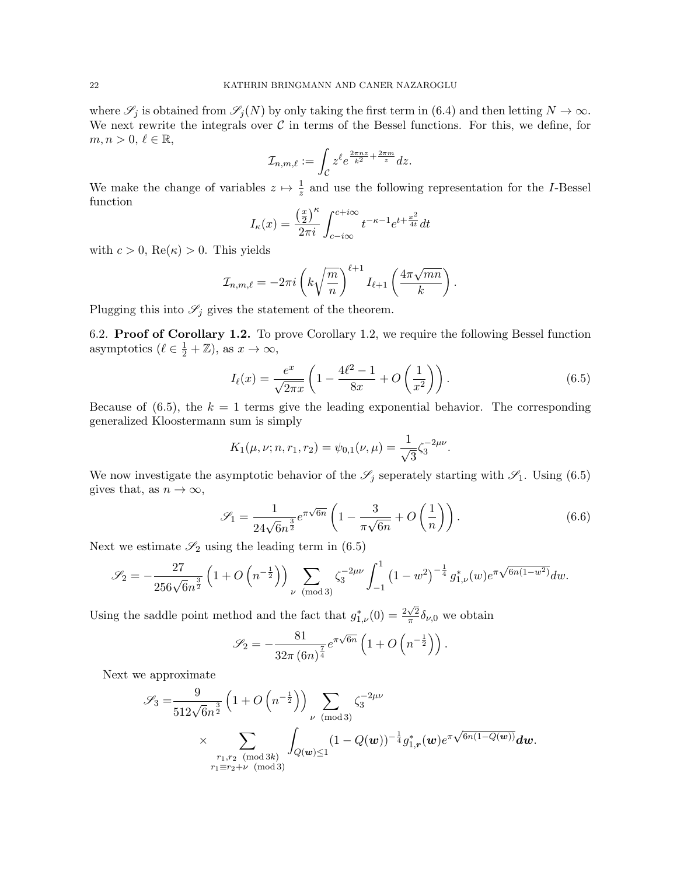where  $\mathscr{S}_j$  is obtained from  $\mathscr{S}_j(N)$  by only taking the first term in (6.4) and then letting  $N \to \infty$ . We next rewrite the integrals over  $\mathcal C$  in terms of the Bessel functions. For this, we define, for  $m, n > 0, \ell \in \mathbb{R},$ 

$$
\mathcal{I}_{n,m,\ell}:=\int_{\mathcal{C}}z^{\ell}e^{\frac{2\pi nz}{k^2}+\frac{2\pi m}{z}}dz.
$$

We make the change of variables  $z \mapsto \frac{1}{z}$  and use the following representation for the *I*-Bessel function

$$
I_{\kappa}(x) = \frac{\left(\frac{x}{2}\right)^{\kappa}}{2\pi i} \int_{c-i\infty}^{c+i\infty} t^{-\kappa-1} e^{t + \frac{x^2}{4t}} dt
$$

with  $c > 0$ ,  $\text{Re}(\kappa) > 0$ . This yields

$$
\mathcal{I}_{n,m,\ell} = -2\pi i \left( k \sqrt{\frac{m}{n}} \right)^{\ell+1} I_{\ell+1} \left( \frac{4\pi \sqrt{mn}}{k} \right).
$$

Plugging this into  $\mathscr{S}_j$  gives the statement of the theorem.

6.2. Proof of Corollary 1.2. To prove Corollary 1.2, we require the following Bessel function asymptotics  $(\ell \in \frac{1}{2} + \mathbb{Z})$ , as  $x \to \infty$ ,

$$
I_{\ell}(x) = \frac{e^x}{\sqrt{2\pi x}} \left( 1 - \frac{4\ell^2 - 1}{8x} + O\left(\frac{1}{x^2}\right) \right).
$$
 (6.5)

Because of  $(6.5)$ , the  $k = 1$  terms give the leading exponential behavior. The corresponding generalized Kloostermann sum is simply

$$
K_1(\mu, \nu; n, r_1, r_2) = \psi_{0,1}(\nu, \mu) = \frac{1}{\sqrt{3}} \zeta_3^{-2\mu\nu}.
$$

We now investigate the asymptotic behavior of the  $\mathscr{S}_j$  seperately starting with  $\mathscr{S}_1$ . Using (6.5) gives that, as  $n \to \infty$ ,

$$
\mathcal{S}_1 = \frac{1}{24\sqrt{6}n^{\frac{3}{2}}}e^{\pi\sqrt{6n}} \left(1 - \frac{3}{\pi\sqrt{6n}} + O\left(\frac{1}{n}\right)\right). \tag{6.6}
$$

Next we estimate  $\mathscr{S}_2$  using the leading term in (6.5)

$$
\mathscr{S}_2 = -\frac{27}{256\sqrt{6}n^{\frac{3}{2}}} \left(1 + O\left(n^{-\frac{1}{2}}\right)\right) \sum_{\nu \pmod{3}} \zeta_3^{-2\mu\nu} \int_{-1}^1 \left(1 - w^2\right)^{-\frac{1}{4}} g_{1,\nu}^*(w) e^{\pi \sqrt{6n(1 - w^2)}} dw.
$$

Using the saddle point method and the fact that  $g_{1,\nu}^*(0) = \frac{2\sqrt{2}}{\pi}$  $\frac{\sqrt{2}}{\pi} \delta_{\nu,0}$  we obtain

$$
\mathscr{S}_2 = -\frac{81}{32\pi \left(6n\right)^{\frac{7}{4}}} e^{\pi\sqrt{6n}} \left(1 + O\left(n^{-\frac{1}{2}}\right)\right).
$$

Next we approximate

$$
\mathscr{S}_3 = \frac{9}{512\sqrt{6}n^{\frac{3}{2}}} \left(1 + O\left(n^{-\frac{1}{2}}\right)\right) \sum_{\nu \pmod{3}} \zeta_3^{-2\mu\nu}
$$
  
 
$$
\times \sum_{\substack{r_1, r_2 \pmod{3k} \\ r_1 \equiv r_2 + \nu \pmod{3}}} \int_{Q(\boldsymbol{w}) \le 1} (1 - Q(\boldsymbol{w}))^{-\frac{1}{4}} g_{1,\boldsymbol{r}}^*(\boldsymbol{w}) e^{\pi \sqrt{6n(1 - Q(\boldsymbol{w}))}} d\boldsymbol{w}.
$$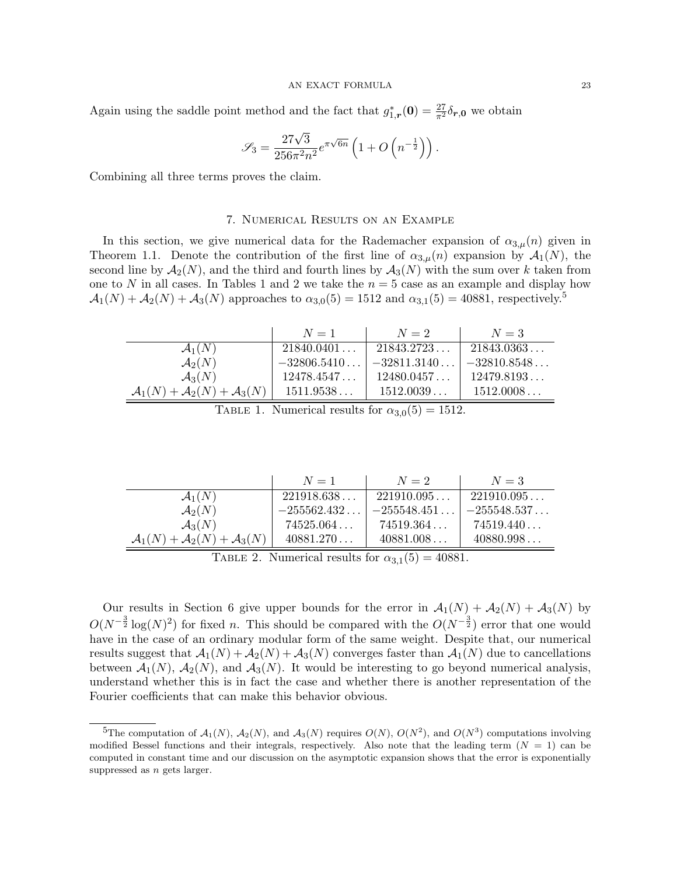Again using the saddle point method and the fact that  $g_{1,r}^*(0) = \frac{27}{\pi^2} \delta_{r,0}$  we obtain

$$
\mathscr{S}_3 = \frac{27\sqrt{3}}{256\pi^2 n^2} e^{\pi\sqrt{6n}} \left(1 + O\left(n^{-\frac{1}{2}}\right)\right).
$$

Combining all three terms proves the claim.

### 7. Numerical Results on an Example

In this section, we give numerical data for the Rademacher expansion of  $\alpha_{3,\mu}(n)$  given in Theorem 1.1. Denote the contribution of the first line of  $\alpha_{3,\mu}(n)$  expansion by  $\mathcal{A}_1(N)$ , the second line by  $\mathcal{A}_2(N)$ , and the third and fourth lines by  $\mathcal{A}_3(N)$  with the sum over k taken from one to N in all cases. In Tables 1 and 2 we take the  $n = 5$  case as an example and display how  $\mathcal{A}_1(N) + \mathcal{A}_2(N) + \mathcal{A}_3(N)$  approaches to  $\alpha_{3,0}(5) = 1512$  and  $\alpha_{3,1}(5) = 40881$ , respectively.<sup>5</sup>

|                                                          | $N=1$         | $N=2$         | $N=3$         |
|----------------------------------------------------------|---------------|---------------|---------------|
| $\mathcal{A}_1(N)$                                       | 21840.0401    | 21843.2723    | 21843.0363    |
| $\mathcal{A}_2(N)$                                       | $-32806.5410$ | $-32811.3140$ | $-32810.8548$ |
| $\mathcal{A}_3(N)$                                       | 12478.4547    | 12480.0457    | 12479.8193    |
| $\mathcal{A}_1(N) + \mathcal{A}_2(N) + \mathcal{A}_3(N)$ | 1511.9538     | 1512.0039     | 1512.0008     |

TABLE 1. Numerical results for  $\alpha_{3,0}(5) = 1512$ .

|                                                          | $N=1$         | $N=2$         | $N=3$         |
|----------------------------------------------------------|---------------|---------------|---------------|
| $\mathcal{A}_1(N)$                                       | 221918.638    | 221910.095    | 221910.095    |
| $\mathcal{A}_2(N)$                                       | $-255562.432$ | $-255548.451$ | $-255548.537$ |
| $\mathcal{A}_3(N)$                                       | 74525.064     | 74519.364     | 74519.440     |
| $\mathcal{A}_1(N) + \mathcal{A}_2(N) + \mathcal{A}_3(N)$ | 40881.270     | 40881.008     | 40880.998     |

TABLE 2. Numerical results for  $\alpha_{3,1}(5) = 40881$ .

Our results in Section 6 give upper bounds for the error in  $\mathcal{A}_1(N) + \mathcal{A}_2(N) + \mathcal{A}_3(N)$  by  $O(N^{-\frac{3}{2}} \log(N)^2)$  for fixed n. This should be compared with the  $O(N^{-\frac{3}{2}})$  error that one would have in the case of an ordinary modular form of the same weight. Despite that, our numerical results suggest that  $\mathcal{A}_1(N) + \mathcal{A}_2(N) + \mathcal{A}_3(N)$  converges faster than  $\mathcal{A}_1(N)$  due to cancellations between  $\mathcal{A}_1(N)$ ,  $\mathcal{A}_2(N)$ , and  $\mathcal{A}_3(N)$ . It would be interesting to go beyond numerical analysis, understand whether this is in fact the case and whether there is another representation of the Fourier coefficients that can make this behavior obvious.

<sup>&</sup>lt;sup>5</sup>The computation of  $\mathcal{A}_1(N)$ ,  $\mathcal{A}_2(N)$ , and  $\mathcal{A}_3(N)$  requires  $O(N)$ ,  $O(N^2)$ , and  $O(N^3)$  computations involving modified Bessel functions and their integrals, respectively. Also note that the leading term  $(N = 1)$  can be computed in constant time and our discussion on the asymptotic expansion shows that the error is exponentially suppressed as *n* gets larger.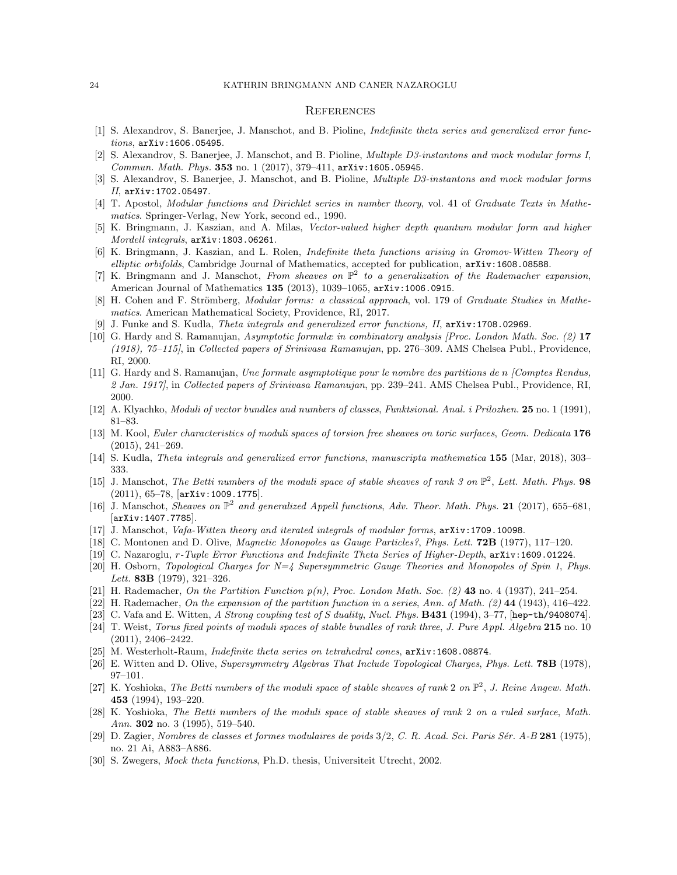#### 24 KATHRIN BRINGMANN AND CANER NAZAROGLU

#### **REFERENCES**

- [1] S. Alexandrov, S. Banerjee, J. Manschot, and B. Pioline, Indefinite theta series and generalized error functions, arXiv:1606.05495.
- [2] S. Alexandrov, S. Banerjee, J. Manschot, and B. Pioline, Multiple D3-instantons and mock modular forms I, Commun. Math. Phys. 353 no. 1 (2017), 379–411, arXiv:1605.05945.
- [3] S. Alexandrov, S. Banerjee, J. Manschot, and B. Pioline, Multiple D3-instantons and mock modular forms II, arXiv:1702.05497.
- [4] T. Apostol, Modular functions and Dirichlet series in number theory, vol. 41 of Graduate Texts in Mathematics. Springer-Verlag, New York, second ed., 1990.
- [5] K. Bringmann, J. Kaszian, and A. Milas, Vector-valued higher depth quantum modular form and higher Mordell integrals, arXiv:1803.06261.
- [6] K. Bringmann, J. Kaszian, and L. Rolen, Indefinite theta functions arising in Gromov-Witten Theory of elliptic orbifolds, Cambridge Journal of Mathematics, accepted for publication,  $arXiv:1608.08588$ .
- [7] K. Bringmann and J. Manschot, From sheaves on  $\mathbb{P}^2$  to a generalization of the Rademacher expansion, American Journal of Mathematics 135 (2013), 1039–1065, arXiv:1006.0915.
- [8] H. Cohen and F. Strömberg, *Modular forms: a classical approach*, vol. 179 of *Graduate Studies in Mathe*matics. American Mathematical Society, Providence, RI, 2017.
- [9] J. Funke and S. Kudla, Theta integrals and generalized error functions, II, arXiv:1708.02969.
- [10] G. Hardy and S. Ramanujan, Asymptotic formulæ in combinatory analysis [Proc. London Math. Soc. (2) 17 (1918), 75–115], in Collected papers of Srinivasa Ramanujan, pp. 276–309. AMS Chelsea Publ., Providence, RI, 2000.
- [11] G. Hardy and S. Ramanujan, Une formule asymptotique pour le nombre des partitions de n [Comptes Rendus, 2 Jan. 1917], in Collected papers of Srinivasa Ramanujan, pp. 239–241. AMS Chelsea Publ., Providence, RI, 2000.
- [12] A. Klyachko, Moduli of vector bundles and numbers of classes, Funktsional. Anal. i Prilozhen. 25 no. 1 (1991), 81–83.
- [13] M. Kool, Euler characteristics of moduli spaces of torsion free sheaves on toric surfaces, Geom. Dedicata 176 (2015), 241–269.
- [14] S. Kudla, Theta integrals and generalized error functions, manuscripta mathematica 155 (Mar, 2018), 303– 333.
- [15] J. Manschot, The Betti numbers of the moduli space of stable sheaves of rank 3 on  $\mathbb{P}^2$ , Lett. Math. Phys. 98 (2011), 65–78, [arXiv:1009.1775].
- [16] J. Manschot, Sheaves on  $\mathbb{P}^2$  and generalized Appell functions, Adv. Theor. Math. Phys. 21 (2017), 655–681, [arXiv:1407.7785].
- [17] J. Manschot, Vafa-Witten theory and iterated integrals of modular forms, arXiv:1709.10098.
- [18] C. Montonen and D. Olive, *Magnetic Monopoles as Gauge Particles?*, *Phys. Lett.* **72B** (1977), 117–120.
- [19] C. Nazaroglu, r-Tuple Error Functions and Indefinite Theta Series of Higher-Depth, arXiv:1609.01224.
- [20] H. Osborn, Topological Charges for N=4 Supersymmetric Gauge Theories and Monopoles of Spin 1, Phys. Lett. 83B (1979), 321-326.
- [21] H. Rademacher, On the Partition Function  $p(n)$ , Proc. London Math. Soc. (2) 43 no. 4 (1937), 241–254.
- [22] H. Rademacher, On the expansion of the partition function in a series, Ann. of Math. (2) 44 (1943), 416–422.
- [23] C. Vafa and E. Witten, A Strong coupling test of S duality, Nucl. Phys. **B431** (1994), 3-77, [hep-th/9408074].
- [24] T. Weist, Torus fixed points of moduli spaces of stable bundles of rank three, J. Pure Appl. Algebra 215 no. 10 (2011), 2406–2422.
- [25] M. Westerholt-Raum, *Indefinite theta series on tetrahedral cones*,  $arXiv:1608.08874$ .
- [26] E. Witten and D. Olive, Supersymmetry Algebras That Include Topological Charges, Phys. Lett. **78B** (1978), 97–101.
- [27] K. Yoshioka, The Betti numbers of the moduli space of stable sheaves of rank 2 on  $\mathbb{P}^2$ , J. Reine Angew. Math. 453 (1994), 193–220.
- [28] K. Yoshioka, The Betti numbers of the moduli space of stable sheaves of rank 2 on a ruled surface, Math. Ann. **302** no. 3 (1995), 519–540.
- [29] D. Zagier, Nombres de classes et formes modulaires de poids  $3/2$ , C. R. Acad. Sci. Paris Sér. A-B 281 (1975), no. 21 Ai, A883–A886.
- [30] S. Zwegers, Mock theta functions, Ph.D. thesis, Universiteit Utrecht, 2002.